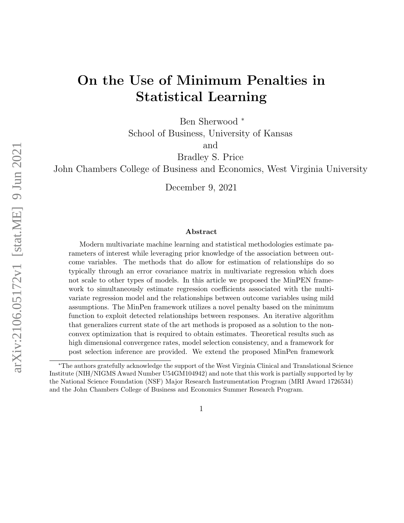# On the Use of Minimum Penalties in Statistical Learning

Ben Sherwood <sup>∗</sup>

School of Business, University of Kansas

and

Bradley S. Price

John Chambers College of Business and Economics, West Virginia University

December 9, 2021

#### Abstract

Modern multivariate machine learning and statistical methodologies estimate parameters of interest while leveraging prior knowledge of the association between outcome variables. The methods that do allow for estimation of relationships do so typically through an error covariance matrix in multivariate regression which does not scale to other types of models. In this article we proposed the MinPEN framework to simultaneously estimate regression coefficients associated with the multivariate regression model and the relationships between outcome variables using mild assumptions. The MinPen framework utilizes a novel penalty based on the minimum function to exploit detected relationships between responses. An iterative algorithm that generalizes current state of the art methods is proposed as a solution to the nonconvex optimization that is required to obtain estimates. Theoretical results such as high dimensional convergence rates, model selection consistency, and a framework for post selection inference are provided. We extend the proposed MinPen framework

<sup>∗</sup>The authors gratefully acknowledge the support of the West Virginia Clinical and Translational Science Institute (NIH/NIGMS Award Number U54GM104942) and note that this work is partially supported by by the National Science Foundation (NSF) Major Research Instrumentation Program (MRI Award 1726534) and the John Chambers College of Business and Economics Summer Research Program.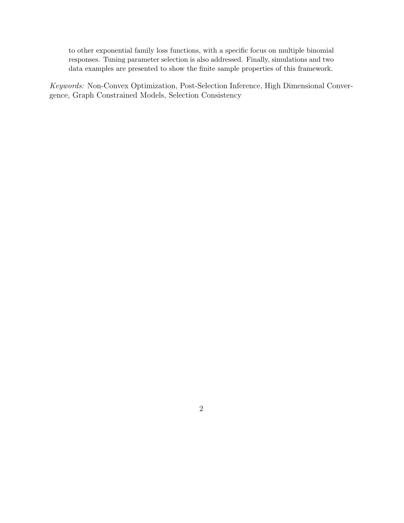to other exponential family loss functions, with a specific focus on multiple binomial responses. Tuning parameter selection is also addressed. Finally, simulations and two data examples are presented to show the finite sample properties of this framework.

Keywords: Non-Convex Optimization, Post-Selection Inference, High Dimensional Convergence, Graph Constrained Models, Selection Consistency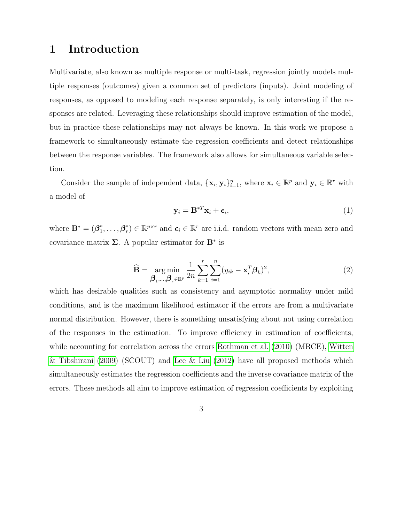### 1 Introduction

Multivariate, also known as multiple response or multi-task, regression jointly models multiple responses (outcomes) given a common set of predictors (inputs). Joint modeling of responses, as opposed to modeling each response separately, is only interesting if the responses are related. Leveraging these relationships should improve estimation of the model, but in practice these relationships may not always be known. In this work we propose a framework to simultaneously estimate the regression coefficients and detect relationships between the response variables. The framework also allows for simultaneous variable selection.

Consider the sample of independent data,  $\{\mathbf x_i, \mathbf y_i\}_{i=1}^n$ , where  $\mathbf x_i \in \mathbb{R}^p$  and  $\mathbf y_i \in \mathbb{R}^r$  with a model of

<span id="page-2-0"></span>
$$
\mathbf{y}_i = \mathbf{B}^{*T} \mathbf{x}_i + \boldsymbol{\epsilon}_i,\tag{1}
$$

where  $\mathbf{B}^* = (\boldsymbol{\beta}_1^*)$  $\mathbf{a}_1^*,\ldots,\mathbf{\beta}_r^*$ <sup>\*</sup>/ $r \in \mathbb{R}^{p \times r}$  and  $\epsilon_i \in \mathbb{R}^r$  are i.i.d. random vectors with mean zero and covariance matrix  $\Sigma$ . A popular estimator for  $\mathbf{B}^*$  is

$$
\widehat{\mathbf{B}} = \underset{\boldsymbol{\beta}_1,\dots,\boldsymbol{\beta}_r \in \mathbb{R}^p}{\arg \min} \frac{1}{2n} \sum_{k=1}^r \sum_{i=1}^n (y_{ik} - \mathbf{x}_i^T \boldsymbol{\beta}_k)^2,
$$
\n(2)

which has desirable qualities such as consistency and asymptotic normality under mild conditions, and is the maximum likelihood estimator if the errors are from a multivariate normal distribution. However, there is something unsatisfying about not using correlation of the responses in the estimation. To improve efficiency in estimation of coefficients, while accounting for correlation across the errors [Rothman et al.](#page-34-0) [\(2010\)](#page-34-0) (MRCE), [Witten](#page-34-1) [& Tibshirani](#page-34-1) [\(2009\)](#page-34-1) (SCOUT) and [Lee & Liu](#page-32-0) [\(2012\)](#page-32-0) have all proposed methods which simultaneously estimates the regression coefficients and the inverse covariance matrix of the errors. These methods all aim to improve estimation of regression coefficients by exploiting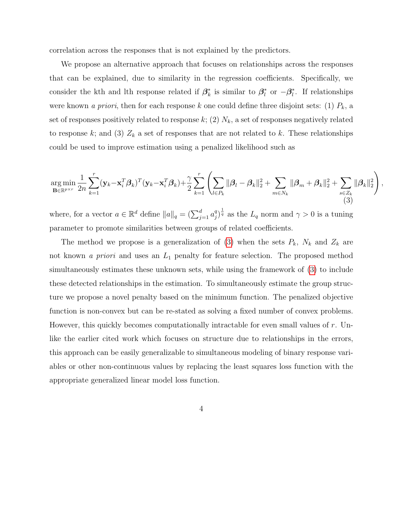correlation across the responses that is not explained by the predictors.

We propose an alternative approach that focuses on relationships across the responses that can be explained, due to similarity in the regression coefficients. Specifically, we consider the kth and lth response related if  $\beta_k^*$  $\vec{k}$  is similar to  $\beta_l^*$ <sup>\*</sup> or  $-\beta_l^*$  $\iota$ . If relationships were known *a priori*, then for each response k one could define three disjoint sets: (1)  $P_k$ , a set of responses positively related to response  $k$ ; (2)  $N_k$ , a set of responses negatively related to response k; and (3)  $Z_k$  a set of responses that are not related to k. These relationships could be used to improve estimation using a penalized likelihood such as

<span id="page-3-0"></span>
$$
\underset{\mathbf{B}\in\mathbb{R}^{p\times r}}{\arg\min}\frac{1}{2n}\sum_{k=1}^r(\mathbf{y}_k-\mathbf{x}_i^T\boldsymbol{\beta}_k)^T(\mathbf{y}_k-\mathbf{x}_i^T\boldsymbol{\beta}_k)+\frac{\gamma}{2}\sum_{k=1}^r\left(\sum_{l\in P_k}\|\boldsymbol{\beta}_l-\boldsymbol{\beta}_k\|_2^2+\sum_{m\in N_k}\|\boldsymbol{\beta}_m+\boldsymbol{\beta}_k\|_2^2+\sum_{s\in Z_k}\|\boldsymbol{\beta}_k\|_2^2\right),
$$
\n(3)

where, for a vector  $a \in \mathbb{R}^d$  define  $||a||_q = \left(\sum_{j=1}^d a_j^q\right)$  $\frac{q}{j}$ ) $\frac{1}{q}$  as the  $L_q$  norm and  $\gamma > 0$  is a tuning parameter to promote similarities between groups of related coefficients.

The method we propose is a generalization of [\(3\)](#page-3-0) when the sets  $P_k$ ,  $N_k$  and  $Z_k$  are not known *a priori* and uses an  $L_1$  penalty for feature selection. The proposed method simultaneously estimates these unknown sets, while using the framework of [\(3\)](#page-3-0) to include these detected relationships in the estimation. To simultaneously estimate the group structure we propose a novel penalty based on the minimum function. The penalized objective function is non-convex but can be re-stated as solving a fixed number of convex problems. However, this quickly becomes computationally intractable for even small values of  $r$ . Unlike the earlier cited work which focuses on structure due to relationships in the errors, this approach can be easily generalizable to simultaneous modeling of binary response variables or other non-continuous values by replacing the least squares loss function with the appropriate generalized linear model loss function.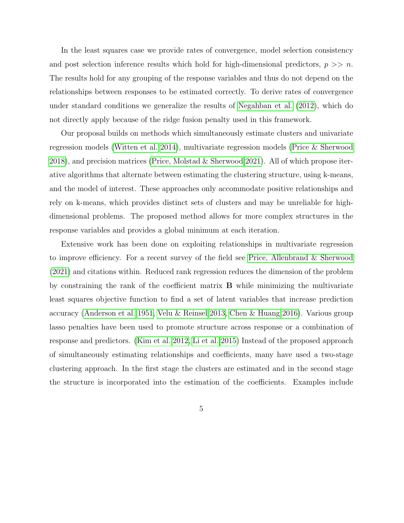In the least squares case we provide rates of convergence, model selection consistency and post selection inference results which hold for high-dimensional predictors,  $p \gg n$ . The results hold for any grouping of the response variables and thus do not depend on the relationships between responses to be estimated correctly. To derive rates of convergence under standard conditions we generalize the results of [Negahban et al.](#page-33-0) [\(2012\)](#page-33-0), which do not directly apply because of the ridge fusion penalty used in this framework.

Our proposal builds on methods which simultaneously estimate clusters and univariate regression models [\(Witten et al. 2014\)](#page-34-2), multivariate regression models [\(Price & Sherwood](#page-34-3) [2018\)](#page-34-3), and precision matrices [\(Price, Molstad & Sherwood 2021\)](#page-34-4). All of which propose iterative algorithms that alternate between estimating the clustering structure, using k-means, and the model of interest. These approaches only accommodate positive relationships and rely on k-means, which provides distinct sets of clusters and may be unreliable for highdimensional problems. The proposed method allows for more complex structures in the response variables and provides a global minimum at each iteration.

Extensive work has been done on exploiting relationships in multivariate regression to improve efficiency. For a recent survey of the field see [Price, Allenbrand & Sherwood](#page-33-1) [\(2021\)](#page-33-1) and citations within. Reduced rank regression reduces the dimension of the problem by constraining the rank of the coefficient matrix B while minimizing the multivariate least squares objective function to find a set of latent variables that increase prediction accuracy [\(Anderson et al. 1951,](#page-31-0) [Velu & Reinsel 2013,](#page-34-5) [Chen & Huang 2016\)](#page-32-1). Various group lasso penalties have been used to promote structure across response or a combination of response and predictors. [\(Kim et al. 2012,](#page-32-2) [Li et al. 2015\)](#page-33-2) Instead of the proposed approach of simultaneously estimating relationships and coefficients, many have used a two-stage clustering approach. In the first stage the clusters are estimated and in the second stage the structure is incorporated into the estimation of the coefficients. Examples include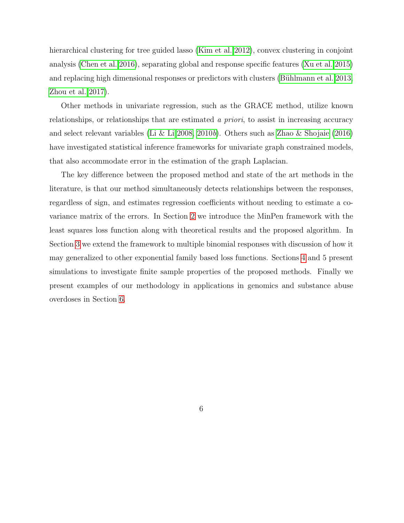hierarchical clustering for tree guided lasso [\(Kim et al. 2012\)](#page-32-2), convex clustering in conjoint analysis [\(Chen et al. 2016\)](#page-32-3), separating global and response specific features [\(Xu et al. 2015\)](#page-35-0) and replacing high dimensional responses or predictors with clusters [\(B¨uhlmann et al. 2013,](#page-32-4) [Zhou et al. 2017\)](#page-35-1).

Other methods in univariate regression, such as the GRACE method, utilize known relationships, or relationships that are estimated a priori, to assist in increasing accuracy and select relevant variables [\(Li & Li 2008,](#page-33-3) [2010](#page-33-4)b). Others such as [Zhao & Shojaie](#page-35-2) [\(2016\)](#page-35-2) have investigated statistical inference frameworks for univariate graph constrained models, that also accommodate error in the estimation of the graph Laplacian.

The key difference between the proposed method and state of the art methods in the literature, is that our method simultaneously detects relationships between the responses, regardless of sign, and estimates regression coefficients without needing to estimate a covariance matrix of the errors. In Section [2](#page-6-0) we introduce the MinPen framework with the least squares loss function along with theoretical results and the proposed algorithm. In Section [3](#page-17-0) we extend the framework to multiple binomial responses with discussion of how it may generalized to other exponential family based loss functions. Sections [4](#page-20-0) and 5 present simulations to investigate finite sample properties of the proposed methods. Finally we present examples of our methodology in applications in genomics and substance abuse overdoses in Section [6.](#page-27-0)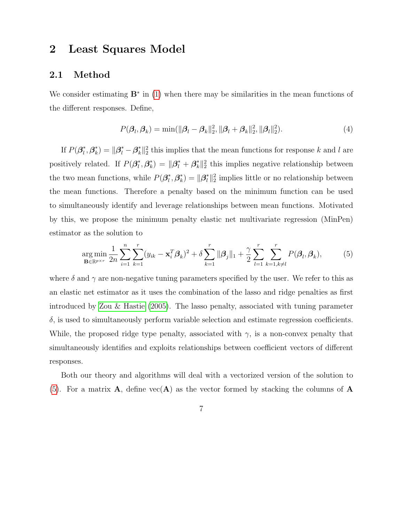### <span id="page-6-0"></span>2 Least Squares Model

#### <span id="page-6-2"></span>2.1 Method

We consider estimating  $\mathbf{B}^*$  in [\(1\)](#page-2-0) when there may be similarities in the mean functions of the different responses. Define,

$$
P(\beta_l, \beta_k) = \min(||\beta_l - \beta_k||_2^2, ||\beta_l + \beta_k||_2^2, ||\beta_l||_2^2).
$$
\n(4)

If  $P(\beta_i^*$  $_{l}^{\ast},\bm{\beta}_{k}^{\ast}$  $\|k\|_k^* = \|\beta_i^* - \beta_k^*\|_2^2$  this implies that the mean functions for response k and l are positively related. If  $P(\beta_i^*)$  $_{l}^{\ast},\bm{\beta}_{k}^{\ast}$  $\mathbf{f}_{k}^{*}$ ) =  $\|\boldsymbol{\beta}_{l}^{*} + \boldsymbol{\beta}_{k}^{*}\|_{2}^{2}$  this implies negative relationship between the two mean functions, while  $P(\beta_i^*)$  $_{l}^{\ast},\bm{\beta}_{k}^{\ast}$  $\mathbf{k}^*_{k}$ ) =  $\|\boldsymbol{\beta}_l^*\|_2^2$  implies little or no relationship between the mean functions. Therefore a penalty based on the minimum function can be used to simultaneously identify and leverage relationships between mean functions. Motivated by this, we propose the minimum penalty elastic net multivariate regression (MinPen) estimator as the solution to

<span id="page-6-1"></span>
$$
\underset{\mathbf{B}\in\mathbb{R}^{p\times r}}{\arg\min} \frac{1}{2n} \sum_{i=1}^{n} \sum_{k=1}^{r} (y_{ik} - \mathbf{x}_{i}^{T} \boldsymbol{\beta}_{k})^{2} + \delta \sum_{k=1}^{r} ||\boldsymbol{\beta}_{j}||_{1} + \frac{\gamma}{2} \sum_{l=1}^{r} \sum_{k=1,k\neq l}^{r} P(\boldsymbol{\beta}_{l},\boldsymbol{\beta}_{k}),
$$
(5)

where  $\delta$  and  $\gamma$  are non-negative tuning parameters specified by the user. We refer to this as an elastic net estimator as it uses the combination of the lasso and ridge penalties as first introduced by [Zou & Hastie](#page-35-3) [\(2005\)](#page-35-3). The lasso penalty, associated with tuning parameter  $\delta$ , is used to simultaneously perform variable selection and estimate regression coefficients. While, the proposed ridge type penalty, associated with  $\gamma$ , is a non-convex penalty that simultaneously identifies and exploits relationships between coefficient vectors of different responses.

Both our theory and algorithms will deal with a vectorized version of the solution to [\(5\)](#page-6-1). For a matrix  $\mathbf{A}$ , define  $\text{vec}(\mathbf{A})$  as the vector formed by stacking the columns of  $\mathbf{A}$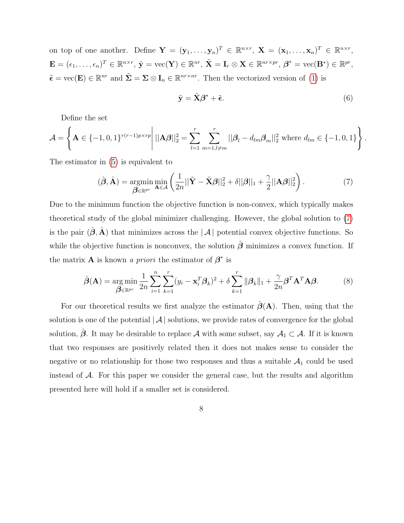on top of one another. Define  $\mathbf{Y} = (\mathbf{y}_1, \ldots, \mathbf{y}_n)^T \in \mathbb{R}^{n \times r}$ ,  $\mathbf{X} = (\mathbf{x}_1, \ldots, \mathbf{x}_n)^T \in \mathbb{R}^{n \times r}$ ,  $\mathbf{E}=(\epsilon_1,\ldots,\epsilon_n)^T\in\mathbb{R}^{n\times r},\, \tilde{\mathbf{y}}=\mathrm{vec}(\mathbf{Y})\in\mathbb{R}^{nr},\, \tilde{\mathbf{X}}=\mathbf{I}_r\otimes\mathbf{X}\in\mathbb{R}^{nr\times pr},\, \boldsymbol{\beta}^*=\mathrm{vec}(\mathbf{B}^*)\in\mathbb{R}^{pr},$  $\tilde{\epsilon} = \text{vec}(\mathbf{E}) \in \mathbb{R}^{nr}$  and  $\tilde{\Sigma} = \Sigma \otimes \mathbf{I}_n \in \mathbb{R}^{nr \times nr}$ . Then the vectorized version of [\(1\)](#page-2-0) is

<span id="page-7-1"></span>
$$
\tilde{\mathbf{y}} = \tilde{\mathbf{X}}\boldsymbol{\beta}^* + \tilde{\boldsymbol{\epsilon}}.
$$
 (6)

Define the set

$$
\mathcal{A} = \left\{ \mathbf{A} \in \{-1, 0, 1\}^{r(r-1)p \times rp} \middle| ||\mathbf{A}\boldsymbol{\beta}||_2^2 = \sum_{l=1}^r \sum_{m=1, l \neq m}^r ||\boldsymbol{\beta}_l - d_{lm} \boldsymbol{\beta}_m||_2^2 \text{ where } d_{lm} \in \{-1, 0, 1\} \right\}.
$$

The estimator in [\(5\)](#page-6-1) is equivalent to

<span id="page-7-0"></span>
$$
(\hat{\boldsymbol{\beta}}, \hat{\mathbf{A}}) = \underset{\boldsymbol{\beta} \in \mathbb{R}^{pr}}{\operatorname{argmin}} \underset{\mathbf{A} \in \mathcal{A}}{\operatorname{min}} \left( \frac{1}{2n} ||\tilde{\mathbf{Y}} - \tilde{\mathbf{X}}\boldsymbol{\beta}||_2^2 + \delta ||\boldsymbol{\beta}||_1 + \frac{\gamma}{2} ||\mathbf{A}\boldsymbol{\beta}||_2^2 \right).
$$
 (7)

Due to the minimum function the objective function is non-convex, which typically makes theoretical study of the global minimizer challenging. However, the global solution to [\(7\)](#page-7-0) is the pair  $(\hat{\boldsymbol{\beta}}, \hat{\mathbf{A}})$  that minimizes across the  $|\mathcal{A}|$  potential convex objective functions. So while the objective function is nonconvex, the solution  $\hat{\boldsymbol{\beta}}$  minimizes a convex function. If the matrix **A** is known *a priori* the estimator of  $\beta^*$  is

<span id="page-7-2"></span>
$$
\hat{\boldsymbol{\beta}}(\mathbf{A}) = \underset{\boldsymbol{\beta} \in \mathbb{R}^{pr}}{\arg \min} \frac{1}{2n} \sum_{i=1}^{n} \sum_{k=1}^{r} (y_i - \mathbf{x}_i^T \boldsymbol{\beta}_k)^2 + \delta \sum_{k=1}^{r} ||\boldsymbol{\beta}_k||_1 + \frac{\gamma}{2n} \boldsymbol{\beta}^T \mathbf{A}^T \mathbf{A} \boldsymbol{\beta}.
$$
 (8)

For our theoretical results we first analyze the estimator  $\hat{\boldsymbol{\beta}}(A)$ . Then, using that the solution is one of the potential  $|\mathcal{A}|$  solutions, we provide rates of convergence for the global solution,  $\hat{\beta}$ . It may be desirable to replace A with some subset, say  $\mathcal{A}_1 \subset \mathcal{A}$ . If it is known that two responses are positively related then it does not makes sense to consider the negative or no relationship for those two responses and thus a suitable  $A_1$  could be used instead of  $A$ . For this paper we consider the general case, but the results and algorithm presented here will hold if a smaller set is considered.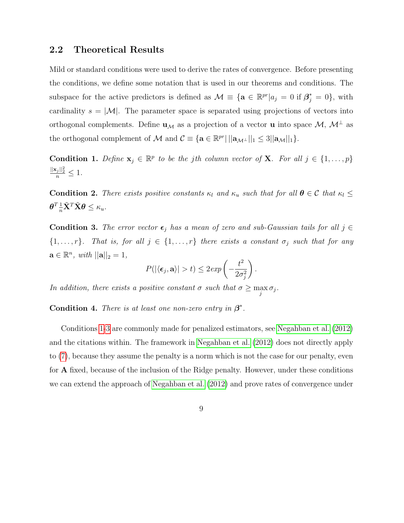### 2.2 Theoretical Results

Mild or standard conditions were used to derive the rates of convergence. Before presenting the conditions, we define some notation that is used in our theorems and conditions. The subspace for the active predictors is defined as  $\mathcal{M} \equiv \{ \mathbf{a} \in \mathbb{R}^{pr} | a_j = 0 \text{ if } \mathcal{B}_j^* = 0 \}$ , with cardinality  $s = |M|$ . The parameter space is separated using projections of vectors into orthogonal complements. Define  $\mathbf{u}_{\mathcal{M}}$  as a projection of a vector **u** into space  $\mathcal{M}, \mathcal{M}^{\perp}$  as the orthogonal complement of M and  $C \equiv {\mathbf{a} \in \mathbb{R}^{pr} | ||\mathbf{a}_{\mathcal{M}^{\perp}}||_1 \leq 3 ||\mathbf{a}_{\mathcal{M}}||_1 }$ .

<span id="page-8-0"></span>**Condition 1.** Define  $\mathbf{x}_j \in \mathbb{R}^p$  to be the jth column vector of **X**. For all  $j \in \{1, \ldots, p\}$  $\frac{||\mathbf{x}_j||_2^2}{n} \leq 1.$ 

**Condition 2.** There exists positive constants  $\kappa_l$  and  $\kappa_u$  such that for all  $\theta \in \mathcal{C}$  that  $\kappa_l \leq$  $\boldsymbol{\theta}^{T}\frac{1}{n}\tilde{\mathbf{X}}^{T}\tilde{\mathbf{X}}\boldsymbol{\theta}\leq\kappa_{u}.$ 

<span id="page-8-1"></span>**Condition 3.** The error vector  $\epsilon_j$  has a mean of zero and sub-Gaussian tails for all j ∈  $\{1, \ldots, r\}$ . That is, for all  $j \in \{1, \ldots, r\}$  there exists a constant  $\sigma_j$  such that for any  $\mathbf{a} \in \mathbb{R}^n$ , with  $||\mathbf{a}||_2 = 1$ ,

$$
P(|\langle \epsilon_j, \mathbf{a} \rangle| > t) \leq 2 \exp\left(-\frac{t^2}{2\sigma_j^2}\right).
$$

In addition, there exists a positive constant  $\sigma$  such that  $\sigma \geq \max_j \sigma_j$ .

<span id="page-8-2"></span>**Condition 4.** There is at least one non-zero entry in  $\beta^*$ .

Conditions [1-](#page-8-0)[3](#page-8-1) are commonly made for penalized estimators, see [Negahban et al.](#page-33-0) [\(2012\)](#page-33-0) and the citations within. The framework in [Negahban et al.](#page-33-0) [\(2012\)](#page-33-0) does not directly apply to [\(7\)](#page-7-0), because they assume the penalty is a norm which is not the case for our penalty, even for A fixed, because of the inclusion of the Ridge penalty. However, under these conditions we can extend the approach of [Negahban et al.](#page-33-0) [\(2012\)](#page-33-0) and prove rates of convergence under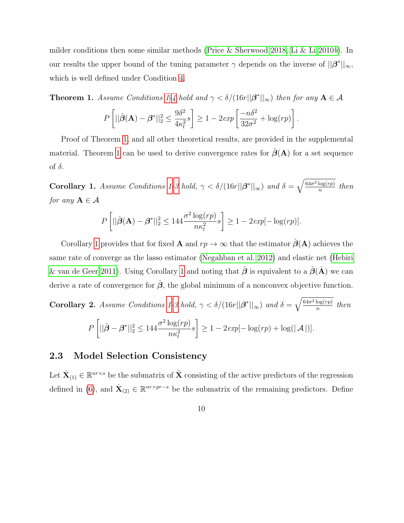milder conditions then some similar methods [\(Price & Sherwood 2018,](#page-34-3) [Li & Li 2010](#page-33-4)b). In our results the upper bound of the tuning parameter  $\gamma$  depends on the inverse of  $||\beta^*||_{\infty}$ , which is well defined under Condition [4.](#page-8-2)

<span id="page-9-0"></span>**Theorem [1](#page-8-0).** Assume Conditions 1[-4](#page-8-2) hold and  $\gamma < \delta/(16r||\boldsymbol{\beta}^*||_{\infty})$  then for any  $A \in \mathcal{A}$ 

$$
P\left[||\hat{\boldsymbol{\beta}}(\mathbf{A}) - \boldsymbol{\beta}^*||_2^2 \le \frac{9\delta^2}{4\kappa_l^2} s\right] \ge 1 - 2\exp\left[\frac{-n\delta^2}{32\sigma^2} + \log(rp)\right].
$$

Proof of Theorem [1,](#page-9-0) and all other theoretical results, are provided in the supplemental material. Theorem [1](#page-9-0) can be used to derive convergence rates for  $\hat{\beta}(A)$  for a set sequence of  $\delta$ .

<span id="page-9-1"></span>**Corollary [1](#page-8-0).** Assume Conditions 1[-3](#page-8-1) hold,  $\gamma < \delta/(16r||\boldsymbol{\beta}^*||_{\infty})$  and  $\delta = \sqrt{\frac{64\sigma^2 \log (rp)}{n}}$  $\frac{\log (rp)}{n}$  then for any  $A \in \mathcal{A}$ 

$$
P\left[||\hat{\boldsymbol{\beta}}(\mathbf{A}) - \boldsymbol{\beta}^*||_2^2 \le 144 \frac{\sigma^2 \log (rp)}{n\kappa_l^2} s\right] \ge 1 - 2\exp[-\log (rp)].
$$

Corollary [1](#page-9-1) provides that for fixed **A** and  $rp \to \infty$  that the estimator  $\hat{\boldsymbol{\beta}}(A)$  achieves the same rate of converge as the lasso estimator [\(Negahban et al. 2012\)](#page-33-0) and elastic net [\(Hebiri](#page-32-5) [& van de Geer 2011\)](#page-32-5). Using Corollary [1](#page-9-1) and noting that  $\hat{\boldsymbol{\beta}}$  is equivalent to a  $\hat{\boldsymbol{\beta}}(\hat{\mathbf{A}})$  we can derive a rate of convergence for  $\hat{\beta}$ , the global minimum of a nonconvex objective function.

**Corollary 2.** Assume Conditions [1-](#page-8-0)[3](#page-8-1) hold,  $\gamma < \delta/(16r||\boldsymbol{\beta}^*||_{\infty})$  and  $\delta = \sqrt{\frac{64\sigma^2 \log (rp)}{n}}$  $\frac{\log (rp)}{n}$  then P  $\left[||\hat{\boldsymbol{\beta}} - \boldsymbol{\beta}^*||_2^2 \leq 144 \frac{\sigma^2 \log (rp)}{pr^2} \right]$  $n\kappa_l^2$ s 1  $\geq 1 - 2exp[-\log (rp) + \log(|\mathcal{A}|)].$ 

#### 2.3 Model Selection Consistency

Let  $\dot{\mathbf{X}}_{(1)} \in \mathbb{R}^{nr \times s}$  be the submatrix of  $\tilde{\mathbf{X}}$  consisting of the active predictors of the regression defined in [\(6\)](#page-7-1), and  $\dot{\mathbf{X}}_{(2)} \in \mathbb{R}^{nr \times pr-s}$  be the submatrix of the remaining predictors. Define

10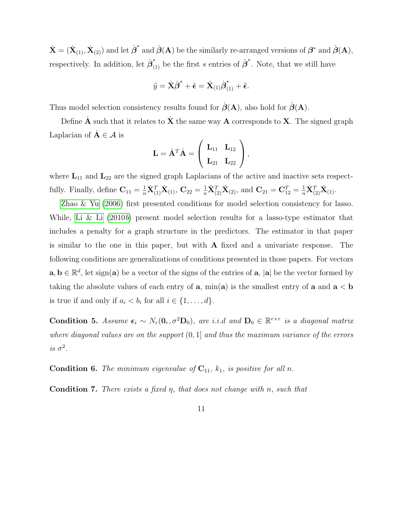$\dot{\mathbf{X}} = (\dot{\mathbf{X}}_{(1)}, \dot{\mathbf{X}}_{(2)})$  and let  $\dot{\boldsymbol{\beta}}^*$  and  $\dot{\boldsymbol{\beta}}(\mathbf{A})$  be the similarly re-arranged versions of  $\boldsymbol{\beta}^*$  and  $\hat{\boldsymbol{\beta}}(\mathbf{A})$ , respectively. In addition, let  $\dot{\boldsymbol{\beta}}_{(1)}^*$  be the first s entries of  $\dot{\boldsymbol{\beta}}^*$ . Note, that we still have

$$
\tilde{y} = \dot{\mathbf{X}}\dot{\boldsymbol{\beta}}^* + \tilde{\boldsymbol{\epsilon}} = \dot{\mathbf{X}}_{(1)}\dot{\boldsymbol{\beta}}_{(1)}^* + \tilde{\boldsymbol{\epsilon}}.
$$

Thus model selection consistency results found for  $\hat{\boldsymbol{\beta}}(\mathbf{A})$ , also hold for  $\hat{\boldsymbol{\beta}}(\mathbf{A})$ .

Define  $\dot{A}$  such that it relates to  $\dot{X}$  the same way  $A$  corresponds to  $X$ . The signed graph Laplacian of  $A \in \mathcal{A}$  is

$$
\mathbf{L} = \dot{\mathbf{A}}^T \dot{\mathbf{A}} = \left(\begin{array}{cc} \mathbf{L}_{11} & \mathbf{L}_{12} \\ \mathbf{L}_{21} & \mathbf{L}_{22} \end{array}\right),
$$

where  $L_{11}$  and  $L_{22}$  are the signed graph Laplacians of the active and inactive sets respectfully. Finally, define  $\mathbf{C}_{11} = \frac{1}{n}\dot{\mathbf{X}}_{(1)}^T \dot{\mathbf{X}}_{(1)}$ ,  $\mathbf{C}_{22} = \frac{1}{n}\dot{\mathbf{X}}_{(2)}^T \dot{\mathbf{X}}_{(2)}$ , and  $\mathbf{C}_{21} = \mathbf{C}_{12}^T = \frac{1}{n}\dot{\mathbf{X}}_{(2)}^T \dot{\mathbf{X}}_{(1)}$ .

[Zhao & Yu](#page-35-4) [\(2006\)](#page-35-4) first presented conditions for model selection consistency for lasso. While, [Li & Li](#page-33-4)  $(2010b)$  $(2010b)$  present model selection results for a lasso-type estimator that includes a penalty for a graph structure in the predictors. The estimator in that paper is similar to the one in this paper, but with A fixed and a univariate response. The following conditions are generalizations of conditions presented in those papers. For vectors  $\mathbf{a}, \mathbf{b} \in \mathbb{R}^d$ , let sign( $\mathbf{a}$ ) be a vector of the signs of the entries of  $\mathbf{a}$ ,  $|\mathbf{a}|$  be the vector formed by taking the absolute values of each entry of  $\bf{a}$ , min $\bf{(a)}$  is the smallest entry of  $\bf{a}$  and  $\bf{a} < \bf{b}$ is true if and only if  $a_i < b_i$  for all  $i \in \{1, \ldots, d\}$ .

<span id="page-10-1"></span>Condition 5. Assume  $\epsilon_i \sim N_r(\mathbf{0}_r, \sigma^2 \mathbf{D}_0)$ , are i.i.d and  $\mathbf{D}_0 \in \mathbb{R}^{r \times r}$  is a diagonal matrix where diagonal values are on the support  $(0, 1]$  and thus the maximum variance of the errors is  $\sigma^2$ .

<span id="page-10-2"></span>**Condition 6.** The minimum eigenvalue of  $C_{11}$ ,  $k_1$ , is positive for all n.

<span id="page-10-0"></span>**Condition 7.** There exists a fixed  $\eta$ , that does not change with  $n$ , such that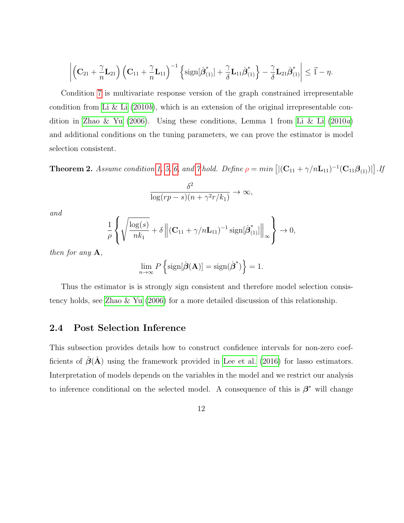$$
\left| \left( \mathbf{C}_{21} + \frac{\gamma}{n} \mathbf{L}_{21} \right) \left( \mathbf{C}_{11} + \frac{\gamma}{n} \mathbf{L}_{11} \right)^{-1} \left\{ \mathrm{sign}[\dot{\boldsymbol{\beta}}_{(1)}^*] + \frac{\gamma}{\delta} \mathbf{L}_{11} \dot{\boldsymbol{\beta}}_{(1)}^* \right\} - \frac{\gamma}{\delta} \mathbf{L}_{21} \dot{\boldsymbol{\beta}}_{(1)}^* \right| \leq \vec{1} - \eta.
$$

Condition [7](#page-10-0) is multivariate response version of the graph constrained irrepresentable condition from [Li & Li](#page-33-4)  $(2010b)$  $(2010b)$ , which is an extension of the original irrepresentable con-dition in [Zhao & Yu](#page-35-4) [\(2006\)](#page-35-4). Using these conditions, Lemma 1 from [Li & Li](#page-33-5) [\(2010](#page-33-5)a) and additional conditions on the tuning parameters, we can prove the estimator is model selection consistent.

**Theorem 2.** Assume condition [1,](#page-8-0) [5,](#page-10-1) [6,](#page-10-2) and [7](#page-10-0) hold. Define  $\rho = min\left[ |(\mathbf{C}_{11} + \gamma/n\mathbf{L}_{11})^{-1}(\mathbf{C}_{11}\boldsymbol{\beta}_{(1)})| \right]$ . If

$$
\frac{\delta^2}{\log (rp - s)(n + \gamma^2 r/k_1)} \to \infty,
$$

and

$$
\frac{1}{\rho} \left\{ \sqrt{\frac{\log(s)}{nk_1}} + \delta \left\| (\mathbf{C}_{11} + \gamma/n\mathbf{L}_{11})^{-1} \operatorname{sign}[\dot{\boldsymbol{\beta}}^*_{(1)}] \right\|_{\infty} \right\} \to 0,
$$

then for any  $A$ ,

$$
\lim_{n\to\infty} P\left\{\text{sign}[\hat{\boldsymbol{\beta}}(\mathbf{A})] = \text{sign}(\hat{\boldsymbol{\beta}}^*)\right\} = 1.
$$

Thus the estimator is is strongly sign consistent and therefore model selection consistency holds, see [Zhao & Yu](#page-35-4) [\(2006\)](#page-35-4) for a more detailed discussion of this relationship.

### 2.4 Post Selection Inference

This subsection provides details how to construct confidence intervals for non-zero coefficients of  $\hat{\boldsymbol{\beta}}(\hat{\mathbf{A}})$  using the framework provided in [Lee et al.](#page-32-6) [\(2016\)](#page-32-6) for lasso estimators. Interpretation of models depends on the variables in the model and we restrict our analysis to inference conditional on the selected model. A consequence of this is  $\beta^*$  will change

12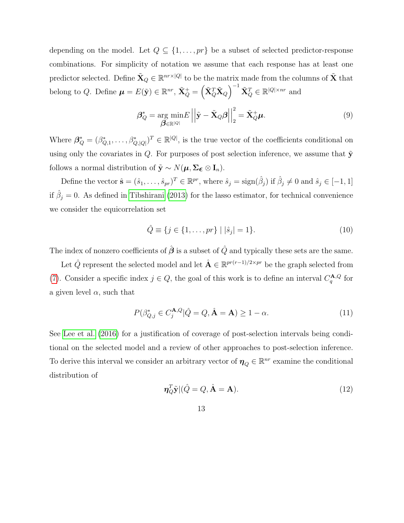depending on the model. Let  $Q \subseteq \{1, ..., pr\}$  be a subset of selected predictor-response combinations. For simplicity of notation we assume that each response has at least one predictor selected. Define  $\tilde{\mathbf{X}}_Q \in \mathbb{R}^{nr \times |Q|}$  to be the matrix made from the columns of  $\tilde{\mathbf{X}}$  that belong to Q. Define  $\boldsymbol{\mu} = E(\tilde{\mathbf{y}}) \in \mathbb{R}^{nr}$ ,  $\tilde{\mathbf{X}}_Q^+ = \left(\tilde{\mathbf{X}}_Q^T \tilde{\mathbf{X}}_Q\right)^{-1} \tilde{\mathbf{X}}_Q^T \in \mathbb{R}^{|Q| \times nr}$  and

$$
\boldsymbol{\beta}_{Q}^{*} = \underset{\boldsymbol{\beta} \in \mathbb{R}^{|Q|}}{\arg \min E} \left| \left| \tilde{\mathbf{y}} - \tilde{\mathbf{X}}_{Q} \boldsymbol{\beta} \right| \right|_{2}^{2} = \tilde{\mathbf{X}}_{Q}^{+} \boldsymbol{\mu}.
$$
\n(9)

Where  $\beta_Q^* = (\beta_{Q,1}^*, \ldots, \beta_{Q,|Q|}^*)^T \in \mathbb{R}^{|Q|}$ , is the true vector of the coefficients conditional on using only the covariates in Q. For purposes of post selection inference, we assume that  $\tilde{\mathbf{y}}$ follows a normal distribution of  $\tilde{\mathbf{y}} \sim N(\boldsymbol{\mu}, \boldsymbol{\Sigma}_{\boldsymbol{\epsilon}} \otimes \mathbf{I}_n)$ .

Define the vector  $\hat{\mathbf{s}} = (\hat{s}_1, \dots, \hat{s}_{pr})^T \in \mathbb{R}^{pr}$ , where  $\hat{s}_j = \text{sign}(\hat{\beta}_j)$  if  $\hat{\beta}_j \neq 0$  and  $\hat{s}_j \in [-1, 1]$ if  $\hat{\beta}_j = 0$ . As defined in [Tibshirani](#page-34-6) [\(2013\)](#page-34-6) for the lasso estimator, for technical convenience we consider the equicorrelation set

$$
\hat{Q} \equiv \{ j \in \{ 1, \dots, pr \} \mid |\hat{s}_j| = 1 \}.
$$
\n(10)

The index of nonzero coefficients of  $\hat{\boldsymbol{\beta}}$  is a subset of  $\hat{Q}$  and typically these sets are the same.

Let  $\hat{Q}$  represent the selected model and let  $\hat{A} \in \mathbb{R}^{pr(r-1)/2 \times pr}$  be the graph selected from [\(7\)](#page-7-0). Consider a specific index  $j \in Q$ , the goal of this work is to define an interval  $C_q^{\mathbf{A},Q}$  for a given level  $\alpha$ , such that

$$
P(\beta_{Q,j}^* \in C_j^{\mathbf{A},Q} | \hat{Q} = Q, \hat{\mathbf{A}} = \mathbf{A}) \ge 1 - \alpha.
$$
 (11)

See [Lee et al.](#page-32-6) [\(2016\)](#page-32-6) for a justification of coverage of post-selection intervals being conditional on the selected model and a review of other approaches to post-selection inference. To derive this interval we consider an arbitrary vector of  $\eta_Q \in \mathbb{R}^{nr}$  examine the conditional distribution of

$$
\eta_Q^T \tilde{\mathbf{y}} | (\hat{Q} = Q, \hat{\mathbf{A}} = \mathbf{A}). \tag{12}
$$

13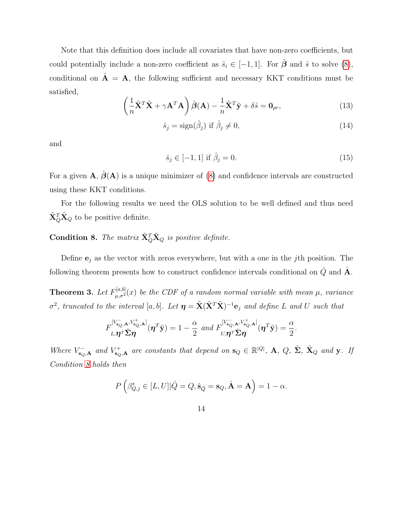Note that this definition does include all covariates that have non-zero coefficients, but could potentially include a non-zero coefficient as  $\hat{s}_i \in [-1, 1]$ . For  $\hat{\boldsymbol{\beta}}$  and  $\hat{s}$  to solve [\(8\)](#page-7-2), conditional on  $\mathbf{\hat{A}} = \mathbf{A}$ , the following sufficient and necessary KKT conditions must be satisfied,

$$
\left(\frac{1}{n}\tilde{\mathbf{X}}^T\tilde{\mathbf{X}} + \gamma \mathbf{A}^T\mathbf{A}\right)\hat{\boldsymbol{\beta}}(\mathbf{A}) - \frac{1}{n}\tilde{\mathbf{X}}^T\tilde{\mathbf{y}} + \delta\hat{s} = \mathbf{0}_{pr},\tag{13}
$$

$$
\hat{s}_j = \text{sign}(\hat{\beta}_j) \text{ if } \hat{\beta}_j \neq 0,
$$
\n(14)

and

$$
\hat{s}_j \in [-1, 1] \text{ if } \hat{\beta}_j = 0. \tag{15}
$$

.

For a given  $\mathbf{A}$ ,  $\hat{\boldsymbol{\beta}}(\mathbf{A})$  is a unique minimizer of [\(8\)](#page-7-2) and confidence intervals are constructed using these KKT conditions.

For the following results we need the OLS solution to be well defined and thus need  $\tilde{\mathbf{X}}_Q^T \tilde{\mathbf{X}}_Q$  to be positive definite.

### <span id="page-13-0"></span>**Condition 8.** The matrix  $\tilde{\mathbf{X}}_Q^T \tilde{\mathbf{X}}_Q$  is positive definite.

Define  $\mathbf{e}_j$  as the vector with zeros everywhere, but with a one in the *j*th position. The following theorem presents how to construct confidence intervals conditional on  $\hat{Q}$  and  $\hat{A}$ .

<span id="page-13-1"></span>**Theorem 3.** Let  $F_{\mu,\sigma^2}^{[a,b]}(x)$  be the CDF of a random normal variable with mean  $\mu$ , variance  $\sigma^2$ , truncated to the interval [a, b]. Let  $\bm{\eta} = \tilde{\mathbf{X}}(\tilde{\mathbf{X}}^T\tilde{\mathbf{X}})^{-1}\mathbf{e}_j$  and define L and U such that

$$
F_{L,\boldsymbol{\eta}^T \boldsymbol{\tilde{\Sigma}} \boldsymbol{\eta}}^{[V_{\mathbf{s}_Q,\mathbf{A}}^-,V_{\mathbf{s}_Q,\mathbf{A}}^+]}(\boldsymbol{\eta}^T \tilde{\mathbf{y}}) = 1 - \frac{\alpha}{2} \text{ and } F_{U,\boldsymbol{\eta}^T \boldsymbol{\tilde{\Sigma}} \boldsymbol{\eta}}^{[V_{\mathbf{s}_Q,\mathbf{A}}^-,V_{\mathbf{s}_Q,\mathbf{A}}^+]}(\boldsymbol{\eta}^T \tilde{\mathbf{y}}) = \frac{\alpha}{2}
$$

Where  $V_{\mathbf{s}_Q,\mathbf{A}}^-$  and  $V_{\mathbf{s}_Q,\mathbf{A}}^+$  are constants that depend on  $\mathbf{s}_Q \in \mathbb{R}^{|Q|}$ ,  $\mathbf{A}, Q, \Sigma, \tilde{\Sigma}, \tilde{\mathbf{X}}_Q$  and y. If Condition [8](#page-13-0) holds then

$$
P\left(\beta_{Q,j}^* \in [L,U] | \hat{Q} = Q, \hat{\mathbf{s}}_{\hat{Q}} = \mathbf{s}_Q, \hat{\mathbf{A}} = \mathbf{A}\right) = 1 - \alpha.
$$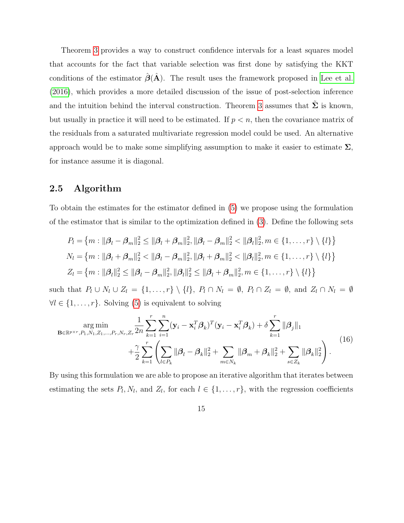Theorem [3](#page-13-1) provides a way to construct confidence intervals for a least squares model that accounts for the fact that variable selection was first done by satisfying the KKT conditions of the estimator  $\hat{\boldsymbol{\beta}}(\hat{\mathbf{A}})$ . The result uses the framework proposed in [Lee et al.](#page-32-6) [\(2016\)](#page-32-6), which provides a more detailed discussion of the issue of post-selection inference and the intuition behind the interval construction. Theorem [3](#page-13-1) assumes that  $\Sigma$  is known, but usually in practice it will need to be estimated. If  $p < n$ , then the covariance matrix of the residuals from a saturated multivariate regression model could be used. An alternative approach would be to make some simplifying assumption to make it easier to estimate  $\Sigma$ , for instance assume it is diagonal.

### <span id="page-14-1"></span>2.5 Algorithm

To obtain the estimates for the estimator defined in [\(5\)](#page-6-1) we propose using the formulation of the estimator that is similar to the optimization defined in [\(3\)](#page-3-0). Define the following sets

$$
P_l = \{m : ||\boldsymbol{\beta}_l - \boldsymbol{\beta}_m||_2^2 \le ||\boldsymbol{\beta}_l + \boldsymbol{\beta}_m||_2^2, ||\boldsymbol{\beta}_l - \boldsymbol{\beta}_m||_2^2 < ||\boldsymbol{\beta}_l||_2^2, m \in \{1, ..., r\} \setminus \{l\}\}
$$
  

$$
N_l = \{m : ||\boldsymbol{\beta}_l + \boldsymbol{\beta}_m||_2^2 < ||\boldsymbol{\beta}_l - \boldsymbol{\beta}_m||_2^2, ||\boldsymbol{\beta}_l + \boldsymbol{\beta}_m||_2^2 < ||\boldsymbol{\beta}_l||_2^2, m \in \{1, ..., r\} \setminus \{l\}\}
$$
  

$$
Z_l = \{m : ||\boldsymbol{\beta}_l||_2^2 \le ||\boldsymbol{\beta}_l - \boldsymbol{\beta}_m||_2^2, ||\boldsymbol{\beta}_l||_2^2 \le ||\boldsymbol{\beta}_l + \boldsymbol{\beta}_m||_2^2, m \in \{1, ..., r\} \setminus \{l\}\}
$$

such that  $P_l \cup N_l \cup Z_l = \{1, ..., r\} \setminus \{l\}, P_l \cap N_l = \emptyset, P_l \cap Z_l = \emptyset, \text{ and } Z_l \cap N_l = \emptyset$  $\forall l \in \{1, \ldots, r\}$ . Solving [\(5\)](#page-6-1) is equivalent to solving

<span id="page-14-0"></span>
$$
\arg\min_{\mathbf{B}\in\mathbb{R}^{p\times r}, P_1, N_1, Z_1, \dots, P_r, N_r, Z_r} \frac{1}{2n} \sum_{k=1}^r \sum_{i=1}^n (\mathbf{y}_i - \mathbf{x}_i^T \boldsymbol{\beta}_k)^T (\mathbf{y}_i - \mathbf{x}_i^T \boldsymbol{\beta}_k) + \delta \sum_{k=1}^r \|\boldsymbol{\beta}_j\|_1 + \frac{\gamma}{2} \sum_{k=1}^r \left( \sum_{l \in P_k} \|\boldsymbol{\beta}_l - \boldsymbol{\beta}_k\|_2^2 + \sum_{m \in N_k} \|\boldsymbol{\beta}_m + \boldsymbol{\beta}_k\|_2^2 + \sum_{s \in Z_k} \|\boldsymbol{\beta}_k\|_2^2 \right).
$$
(16)

By using this formulation we are able to propose an iterative algorithm that iterates between estimating the sets  $P_l, N_l$ , and  $Z_l$ , for each  $l \in \{1, \ldots, r\}$ , with the regression coefficients

15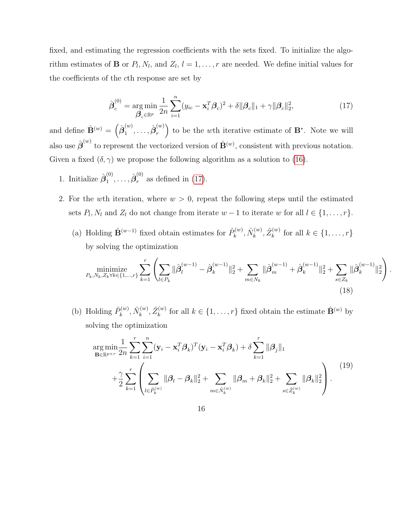fixed, and estimating the regression coefficients with the sets fixed. To initialize the algorithm estimates of **B** or  $P_l$ ,  $N_l$ , and  $Z_l$ ,  $l = 1, \ldots, r$  are needed. We define initial values for the coefficients of the cth response are set by

<span id="page-15-0"></span>
$$
\hat{\boldsymbol{\beta}}_c^{(0)} = \underset{\boldsymbol{\beta}_c \in \mathbb{R}^p}{\arg \min} \frac{1}{2n} \sum_{i=1}^n (y_{ic} - \mathbf{x}_i^T \boldsymbol{\beta}_c)^2 + \delta ||\boldsymbol{\beta}_c||_1 + \gamma ||\boldsymbol{\beta}_c||_2^2, \tag{17}
$$

and define  $\hat{\mathbf{B}}^{(w)} = \left(\hat{\boldsymbol{\beta}}_1^{(w)}\right)$  $\overset{(w)}{1},\ldots,\hat{\bm{\beta}}_r^{(w)}$  $\binom{w}{r}$  to be the wth iterative estimate of **B**<sup>\*</sup>. Note we will also use  $\hat{\boldsymbol{\beta}}^{(w)}$  to represent the vectorized version of  $\hat{\mathbf{B}}^{(w)}$ , consistent with previous notation. Given a fixed  $(\delta, \gamma)$  we propose the following algorithm as a solution to [\(16\)](#page-14-0).

- 1. Initialize  $\hat{\boldsymbol{\beta}}_1^{(0)}$  $\overset{(0)}{1},\ldots,\hat{\bm{\beta}}_r^{(0)}$  $r^{(0)}$  as defined in [\(17\)](#page-15-0).
- 2. For the wth iteration, where  $w > 0$ , repeat the following steps until the estimated sets  $P_l$ ,  $N_l$  and  $Z_l$  do not change from iterate  $w-1$  to iterate w for all  $l \in \{1, \ldots, r\}$ .
	- (a) Holding  $\hat{\mathbf{B}}^{(w-1)}$  fixed obtain estimates for  $\hat{P}_k^{(w)}$  $\hat{N}^{(w)}_k, \hat{N}^{(w)}_k$  $\hat{Z}_{k}^{(w)}, \hat{Z}_{k}^{(w)}$  $\mathbf{k}^{(w)}$  for all  $k \in \{1, \ldots, r\}$ by solving the optimization

<span id="page-15-1"></span>
$$
\underset{P_k, N_k, Z_k \forall k \in \{1, \dots, r\}}{\text{minimize}} \sum_{k=1}^r \left( \sum_{l \in P_k} \|\hat{\beta}_l^{(w-1)} - \hat{\beta}_k^{(w-1)}\|_2^2 + \sum_{m \in N_k} \|\hat{\beta}_m^{(w-1)} + \hat{\beta}_k^{(w-1)}\|_2^2 + \sum_{s \in Z_k} \|\hat{\beta}_k^{(w-1)}\|_2^2 \right). \tag{18}
$$

(b) Holding  $\hat{P}_k^{(w)}$  $\hat{N}^{(w)}_k, \hat{N}^{(w)}_k$  $\hat{Z}_{k}^{(w)}, \hat{Z}_{k}^{(w)}$  $f_k^{(w)}$  for all  $k \in \{1, ..., r\}$  fixed obtain the estimate  $\hat{\mathbf{B}}^{(w)}$  by solving the optimization

<span id="page-15-2"></span>
$$
\arg\min_{\mathbf{B}\in\mathbb{R}^{p\times r}}\frac{1}{2n}\sum_{k=1}^{r}\sum_{i=1}^{n}(\mathbf{y}_{i}-\mathbf{x}_{i}^{T}\boldsymbol{\beta}_{k})^{T}(\mathbf{y}_{i}-\mathbf{x}_{i}^{T}\boldsymbol{\beta}_{k})+\delta\sum_{k=1}^{r}\|\boldsymbol{\beta}_{j}\|_{1} + \frac{\gamma}{2}\sum_{k=1}^{r}\left(\sum_{l\in\hat{P}_{k}^{(w)}}\|\boldsymbol{\beta}_{l}-\boldsymbol{\beta}_{k}\|_{2}^{2}+\sum_{m\in\hat{N}_{k}^{(w)}}\|\boldsymbol{\beta}_{m}+\boldsymbol{\beta}_{k}\|_{2}^{2}+\sum_{s\in\hat{Z}_{k}^{(w)}}\|\boldsymbol{\beta}_{k}\|_{2}^{2}\right).
$$
\n(19)

16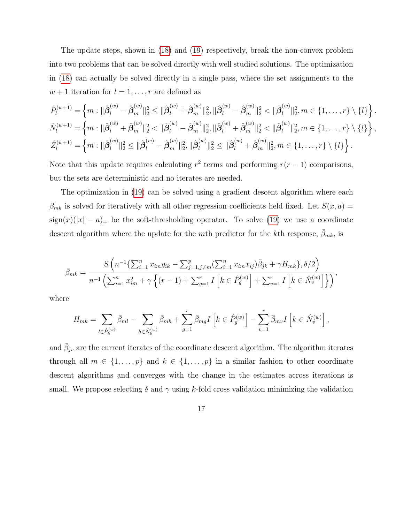The update steps, shown in [\(18\)](#page-15-1) and [\(19\)](#page-15-2) respectively, break the non-convex problem into two problems that can be solved directly with well studied solutions. The optimization in [\(18\)](#page-15-1) can actually be solved directly in a single pass, where the set assignments to the  $w + 1$  iteration for  $l = 1, \ldots, r$  are defined as

$$
\hat{P}_{l}^{(w+1)} = \left\{ m : \|\hat{\beta}_{l}^{(w)} - \hat{\beta}_{m}^{(w)}\|_{2}^{2} \leq \|\hat{\beta}_{l}^{(w)} + \hat{\beta}_{m}^{(w)}\|_{2}^{2}, \|\hat{\beta}_{l}^{(w)} - \hat{\beta}_{m}^{(w)}\|_{2}^{2} < \|\hat{\beta}_{l}^{(w)}\|_{2}^{2}, m \in \{1, ..., r\} \setminus \{l\} \right\},\
$$
  

$$
\hat{N}_{l}^{(w+1)} = \left\{ m : \|\hat{\beta}_{l}^{(w)} + \hat{\beta}_{m}^{(w)}\|_{2}^{2} < \|\hat{\beta}_{l}^{(w)} - \hat{\beta}_{m}^{(w)}\|_{2}^{2}, \|\hat{\beta}_{l}^{(w)} + \hat{\beta}_{m}^{(w)}\|_{2}^{2} < \|\hat{\beta}_{l}^{(w)}\|_{2}^{2}, m \in \{1, ..., r\} \setminus \{l\} \right\},\
$$
  

$$
\hat{Z}_{l}^{(w+1)} = \left\{ m : \|\hat{\beta}_{l}^{(w)}\|_{2}^{2} \leq \|\hat{\beta}_{l}^{(w)} - \hat{\beta}_{m}^{(w)}\|_{2}^{2}, \|\hat{\beta}_{l}^{(w)}\|_{2}^{2} \leq \|\hat{\beta}_{l}^{(w)} + \hat{\beta}_{m}^{(w)}\|_{2}^{2}, m \in \{1, ..., r\} \setminus \{l\} \right\}.
$$

Note that this update requires calculating  $r^2$  terms and performing  $r(r-1)$  comparisons, but the sets are deterministic and no iterates are needed.

The optimization in [\(19\)](#page-15-2) can be solved using a gradient descent algorithm where each  $\beta_{mk}$  is solved for iteratively with all other regression coefficients held fixed. Let  $S(x, a)$  $sign(x)(|x| - a)$  be the soft-thresholding operator. To solve [\(19\)](#page-15-2) we use a coordinate descent algorithm where the update for the mth predictor for the kth response,  $\beta_{mk}$ , is

$$
\bar{\beta}_{mk} = \frac{S\left(n^{-1}\left\{\sum_{i=1}^{n} x_{im}y_{ik} - \sum_{j=1, j\neq m}^{p}\left(\sum_{i=1}^{n} x_{im}x_{ij}\right)\bar{\beta}_{jk} + \gamma H_{mk}\right\}, \delta/2\right)}{n^{-1}\left(\sum_{i=1}^{n} x_{im}^{2} + \gamma \left\{(r-1) + \sum_{g=1}^{r} I\left[k \in \hat{P}_g^{(w)}\right] + \sum_{v=1}^{r} I\left[k \in \hat{N}_v^{(w)}\right]\right\}\right)},
$$

where

$$
H_{mk} = \sum_{l \in \hat{P}_k^{(w)}} \bar{\beta}_{ml} - \sum_{h \in \hat{N}_k^{(w)}} \bar{\beta}_{mh} + \sum_{g=1}^r \bar{\beta}_{mg} I\left[k \in \hat{P}_g^{(w)}\right] - \sum_{v=1}^r \bar{\beta}_{mv} I\left[k \in \hat{N}_v^{(w)}\right],
$$

and  $\bar{\beta}_{j\nu}$  are the current iterates of the coordinate descent algorithm. The algorithm iterates through all  $m \in \{1, ..., p\}$  and  $k \in \{1, ..., p\}$  in a similar fashion to other coordinate descent algorithms and converges with the change in the estimates across iterations is small. We propose selecting  $\delta$  and  $\gamma$  using k-fold cross validation minimizing the validation

17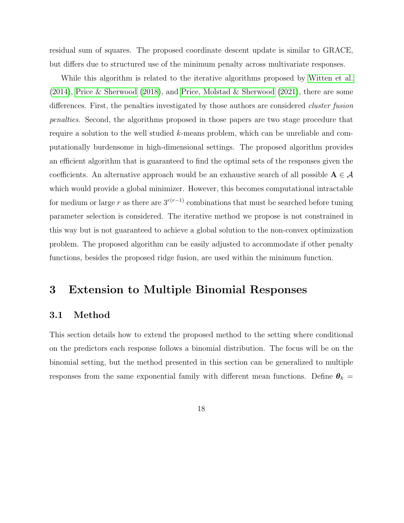residual sum of squares. The proposed coordinate descent update is similar to GRACE, but differs due to structured use of the minimum penalty across multivariate responses.

While this algorithm is related to the iterative algorithms proposed by [Witten et al.](#page-34-2) [\(2014\)](#page-34-2), [Price & Sherwood](#page-34-3) [\(2018\)](#page-34-3), and [Price, Molstad & Sherwood](#page-34-4) [\(2021\)](#page-34-4), there are some differences. First, the penalties investigated by those authors are considered *cluster fusion* penalties. Second, the algorithms proposed in those papers are two stage procedure that require a solution to the well studied k-means problem, which can be unreliable and computationally burdensome in high-dimensional settings. The proposed algorithm provides an efficient algorithm that is guaranteed to find the optimal sets of the responses given the coefficients. An alternative approach would be an exhaustive search of all possible  $A \in \mathcal{A}$ which would provide a global minimizer. However, this becomes computational intractable for medium or large r as there are  $3^{r(r-1)}$  combinations that must be searched before tuning parameter selection is considered. The iterative method we propose is not constrained in this way but is not guaranteed to achieve a global solution to the non-convex optimization problem. The proposed algorithm can be easily adjusted to accommodate if other penalty functions, besides the proposed ridge fusion, are used within the minimum function.

### <span id="page-17-0"></span>3 Extension to Multiple Binomial Responses

#### 3.1 Method

This section details how to extend the proposed method to the setting where conditional on the predictors each response follows a binomial distribution. The focus will be on the binomial setting, but the method presented in this section can be generalized to multiple responses from the same exponential family with different mean functions. Define  $\theta_k =$ 

18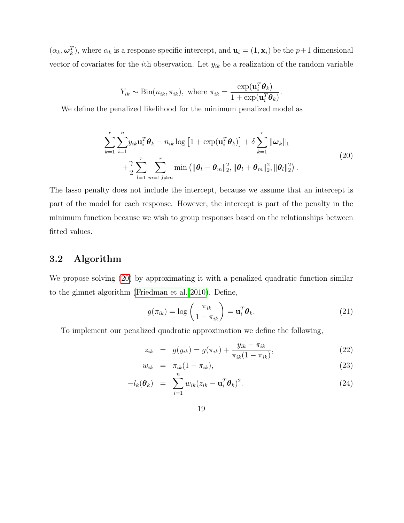$(\alpha_k, \omega_k^T)$ , where  $\alpha_k$  is a response specific intercept, and  $\mathbf{u}_i = (1, \mathbf{x}_i)$  be the  $p+1$  dimensional vector of covariates for the *i*th observation. Let  $y_{ik}$  be a realization of the random variable

$$
Y_{ik} \sim \text{Bin}(n_{ik}, \pi_{ik}), \text{ where } \pi_{ik} = \frac{\exp(\mathbf{u}_i^T \boldsymbol{\theta}_k)}{1 + \exp(\mathbf{u}_i^T \boldsymbol{\theta}_k)}
$$

<span id="page-18-0"></span>We define the penalized likelihood for the minimum penalized model as

$$
\sum_{k=1}^{r} \sum_{i=1}^{n} y_{ik} \mathbf{u}_{i}^{T} \boldsymbol{\theta}_{k} - n_{ik} \log \left[ 1 + \exp(\mathbf{u}_{i}^{T} \boldsymbol{\theta}_{k}) \right] + \delta \sum_{k=1}^{r} ||\boldsymbol{\omega}_{k}||_{1} + \frac{\gamma}{2} \sum_{l=1}^{r} \sum_{m=1, l \neq m}^{r} \min \left( ||\boldsymbol{\theta}_{l} - \boldsymbol{\theta}_{m}||_{2}^{2}, ||\boldsymbol{\theta}_{l} + \boldsymbol{\theta}_{m}||_{2}^{2}, ||\boldsymbol{\theta}_{l}||_{2}^{2} \right).
$$
\n(20)

.

The lasso penalty does not include the intercept, because we assume that an intercept is part of the model for each response. However, the intercept is part of the penalty in the minimum function because we wish to group responses based on the relationships between fitted values.

### 3.2 Algorithm

We propose solving  $(20)$  by approximating it with a penalized quadratic function similar to the glmnet algorithm [\(Friedman et al. 2010\)](#page-32-7). Define,

$$
g(\pi_{ik}) = \log\left(\frac{\pi_{ik}}{1 - \pi_{ik}}\right) = \mathbf{u}_i^T \boldsymbol{\theta}_k.
$$
 (21)

To implement our penalized quadratic approximation we define the following,

<span id="page-18-1"></span>
$$
z_{ik} = g(y_{ik}) = g(\pi_{ik}) + \frac{y_{ik} - \pi_{ik}}{\pi_{ik}(1 - \pi_{ik})},
$$
\n(22)

$$
w_{ik} = \pi_{ik}(1 - \pi_{ik}), \qquad (23)
$$

$$
-l_k(\boldsymbol{\theta}_k) = \sum_{i=1}^n w_{ik} (z_{ik} - \mathbf{u}_i^T \boldsymbol{\theta}_k)^2.
$$
 (24)

19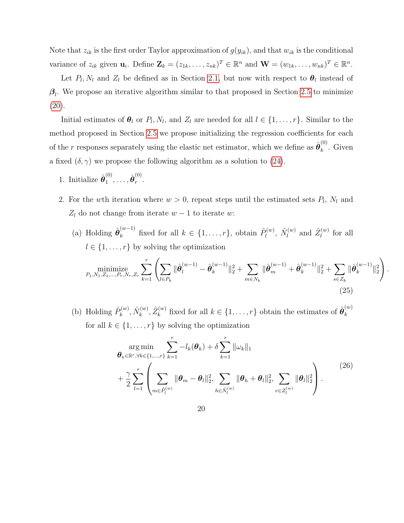Note that  $z_{ik}$  is the first order Taylor approximation of  $g(y_{ik})$ , and that  $w_{ik}$  is the conditional variance of  $z_{ik}$  given  $\mathbf{u}_i$ . Define  $\mathbf{Z}_k = (z_{1k}, \ldots, z_{nk})^T \in \mathbb{R}^n$  and  $\mathbf{W} = (w_{1k}, \ldots, w_{nk})^T \in \mathbb{R}^n$ .

Let  $P_l$ ,  $N_l$  and  $Z_l$  be defined as in Section [2.1,](#page-6-2) but now with respect to  $\boldsymbol{\theta}_l$  instead of  $\beta_l$ . We propose an iterative algorithm similar to that proposed in Section [2.5](#page-14-1) to minimize  $(20).$  $(20).$ 

Initial estimates of  $\theta_l$  or  $P_l$ ,  $N_l$ , and  $Z_l$  are needed for all  $l \in \{1, \ldots, r\}$ . Similar to the method proposed in Section [2.5](#page-14-1) we propose initializing the regression coefficients for each of the r responses separately using the elastic net estimator, which we define as  $\hat{\boldsymbol{\theta}}_k^{(0)}$  $\int_k^{\infty}$ . Given a fixed  $(\delta, \gamma)$  we propose the following algorithm as a solution to [\(24\)](#page-18-1).

- 1. Initialize  $\hat{\boldsymbol{\theta}}_1^{(0)}$  $\overset{(0)}{1},\ldots,\hat{\boldsymbol{\theta}}_r^{(0)}$  $\frac{1}{r}$ .
- 2. For the wth iteration where  $w > 0$ , repeat steps until the estimated sets  $P_l$ ,  $N_l$  and  $Z_l$  do not change from iterate  $w - 1$  to iterate w:
	- (a) Holding  $\hat{\boldsymbol{\theta}}_k^{(w-1)}$  fixed for all  $k \in \{1, \ldots, r\}$ , obtain  $\hat{P}_l^{(w)}$  $\hat{N}^{(w)}_l,\;\hat{N}^{(w)}_l$  $\hat{Z}_{l}^{(w)}$  and  $\hat{Z}_{l}^{(w)}$  $\iota^{(w)}$  for all  $l \in \{1, \ldots, r\}$  by solving the optimization minimize<br> $P_1, N_1, Z_1, \ldots, P_r, N_r, Z_r$  $\sum_{k=1}^r\left(\sum_{l\in P_k}\right)$  $\|\hat{\bm{\theta}}_{l}^{(w-1)}-\hat{\bm{\theta}}_{k}^{(w-1)}\|_{2}^{2}+ \ \sum$  $m \in N_k$  $\|\hat{\bm{\theta}}_{m}^{(w-1)} + \hat{\bm{\theta}}_{k}^{(w-1)}\|_2^2 + \sum_{k=1}^{N}$  $s \in Z_k$  $\|\hat{\bm{\theta}}_{k}^{(w-1)}\|_2^2$  $\setminus$ (25)

.

(b) Holding  $\hat{P}_k^{(w)}$  $\hat{N}^{(w)}_k, \hat{N}^{(w)}_k$  $\hat{Z}_{k}^{(w)}, \hat{Z}_{k}^{(w)}$  $\hat{\mathbf{g}}_k^{(w)}$  fixed for all  $k \in \{1, \ldots, r\}$  obtain the estimates of  $\hat{\boldsymbol{\theta}}_k^{(w)}$ k for all  $k \in \{1, \ldots, r\}$  by solving the optimization

<span id="page-19-0"></span>
$$
\argmin_{\theta_k \in \mathbb{R}^r, \forall k \in \{1, ..., r\}} \sum_{k=1}^r -l_k(\theta_k) + \delta \sum_{k=1}^r \|\omega_k\|_1
$$
\n
$$
+ \frac{\gamma}{2} \sum_{l=1}^r \left( \sum_{m \in \hat{P}_l^{(w)}} \|\theta_m - \theta_l\|_2^2, \sum_{h \in \hat{N}_l^{(w)}} \|\theta_h + \theta_l\|_2^2, \sum_{v \in Z_l^{(w)}} \|\theta_l\|_2^2 \right). \tag{26}
$$

20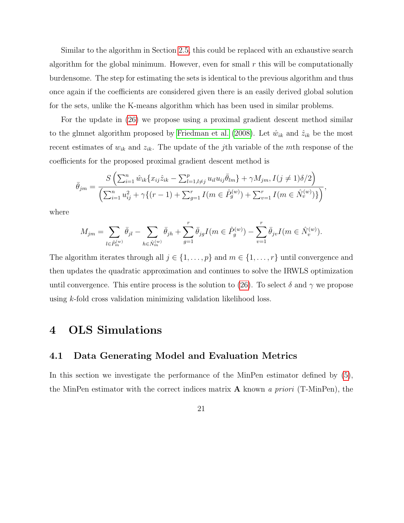Similar to the algorithm in Section [2.5,](#page-14-1) this could be replaced with an exhaustive search algorithm for the global minimum. However, even for small  $r$  this will be computationally burdensome. The step for estimating the sets is identical to the previous algorithm and thus once again if the coefficients are considered given there is an easily derived global solution for the sets, unlike the K-means algorithm which has been used in similar problems.

For the update in [\(26\)](#page-19-0) we propose using a proximal gradient descent method similar to the glmnet algorithm proposed by [Friedman et al.](#page-32-8) [\(2008\)](#page-32-8). Let  $\hat{w}_{ik}$  and  $\hat{z}_{ik}$  be the most recent estimates of  $w_{ik}$  and  $z_{ik}$ . The update of the jth variable of the mth response of the coefficients for the proposed proximal gradient descent method is

$$
\bar{\theta}_{jm} = \frac{S\left(\sum_{i=1}^{n} \hat{w}_{ik} \{x_{ij}\hat{z}_{ik} - \sum_{l=1,l\neq j}^{p} u_{il}u_{ij}\bar{\theta}_{lm}\} + \gamma M_{jm}, I(j \neq 1)\delta/2\right)}{\left(\sum_{i=1}^{n} u_{ij}^{2} + \gamma \{ (r-1) + \sum_{g=1}^{r} I(m \in \hat{P}_{g}^{(w)}) + \sum_{v=1}^{r} I(m \in \hat{N}_{v}^{(w)}) \} \right)},
$$

where

$$
M_{jm}=\sum_{l\in \hat{P}_m^{(w)}}\bar{\theta}_{jl}-\sum_{h\in \hat{N}_m^{(w)}}\bar{\theta}_{jh}+\sum_{g=1}^r\bar{\theta}_{jg}I\big(m\in \hat{P}_g^{(w)}\big)-\sum_{v=1}^r\bar{\theta}_{jv}I\big(m\in \hat{N}_v^{(w)}\big).
$$

The algorithm iterates through all  $j \in \{1, ..., p\}$  and  $m \in \{1, ..., r\}$  until convergence and then updates the quadratic approximation and continues to solve the IRWLS optimization until convergence. This entire process is the solution to [\(26\)](#page-19-0). To select  $\delta$  and  $\gamma$  we propose using k-fold cross validation minimizing validation likelihood loss.

### <span id="page-20-0"></span>4 OLS Simulations

### <span id="page-20-1"></span>4.1 Data Generating Model and Evaluation Metrics

In this section we investigate the performance of the MinPen estimator defined by [\(5\)](#page-6-1), the MinPen estimator with the correct indices matrix  $\bf{A}$  known a priori (T-MinPen), the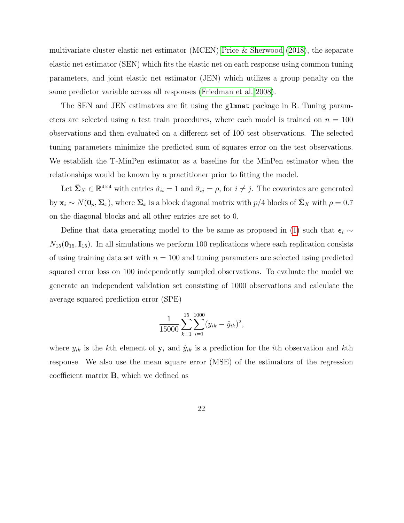multivariate cluster elastic net estimator (MCEN) [Price & Sherwood](#page-34-3) [\(2018\)](#page-34-3), the separate elastic net estimator (SEN) which fits the elastic net on each response using common tuning parameters, and joint elastic net estimator (JEN) which utilizes a group penalty on the same predictor variable across all responses [\(Friedman et al. 2008\)](#page-32-8).

The SEN and JEN estimators are fit using the glmnet package in R. Tuning parameters are selected using a test train procedures, where each model is trained on  $n = 100$ observations and then evaluated on a different set of 100 test observations. The selected tuning parameters minimize the predicted sum of squares error on the test observations. We establish the T-MinPen estimator as a baseline for the MinPen estimator when the relationships would be known by a practitioner prior to fitting the model.

Let  $\tilde{\Sigma}_X \in \mathbb{R}^{4 \times 4}$  with entries  $\tilde{\sigma}_{ii} = 1$  and  $\tilde{\sigma}_{ij} = \rho$ , for  $i \neq j$ . The covariates are generated by  $\mathbf{x}_i \sim N(\mathbf{0}_p, \Sigma_x)$ , where  $\Sigma_x$  is a block diagonal matrix with  $p/4$  blocks of  $\Sigma_x$  with  $\rho = 0.7$ on the diagonal blocks and all other entries are set to 0.

Define that data generating model to the be same as proposed in [\(1\)](#page-2-0) such that  $\epsilon_i \sim$  $N_{15}(\mathbf{0}_{15}, \mathbf{I}_{15})$ . In all simulations we perform 100 replications where each replication consists of using training data set with  $n = 100$  and tuning parameters are selected using predicted squared error loss on 100 independently sampled observations. To evaluate the model we generate an independent validation set consisting of 1000 observations and calculate the average squared prediction error (SPE)

$$
\frac{1}{15000} \sum_{k=1}^{15} \sum_{i=1}^{1000} (y_{ik} - \hat{y}_{ik})^2,
$$

where  $y_{ik}$  is the kth element of  $y_i$  and  $\hat{y}_{ik}$  is a prediction for the *i*th observation and kth response. We also use the mean square error (MSE) of the estimators of the regression coefficient matrix B, which we defined as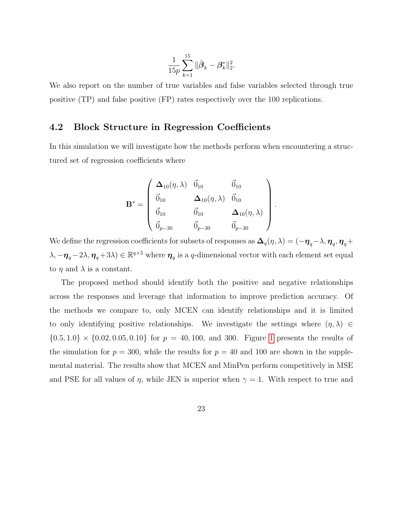$$
\frac{1}{15p}\sum_{k=1}^{15}\|\hat{\pmb{\beta}}_{k}-\pmb{\beta}_{k}^*\|_2^2
$$

.

.

We also report on the number of true variables and false variables selected through true positive (TP) and false positive (FP) rates respectively over the 100 replications.

### <span id="page-22-0"></span>4.2 Block Structure in Regression Coefficients

In this simulation we will investigate how the methods perform when encountering a structured set of regression coefficients where

$$
\mathbf{B}^* = \left(\begin{array}{cccc} \mathbf{\Delta}_{10}(\eta, \lambda) & \vec{0}_{10} & \vec{0}_{10} \\ \vec{0}_{10} & \mathbf{\Delta}_{10}(\eta, \lambda) & \vec{0}_{10} \\ \vec{0}_{10} & \vec{0}_{10} & \mathbf{\Delta}_{10}(\eta, \lambda) \\ \vec{0}_{p-30} & \vec{0}_{p-30} & \vec{0}_{p-30} \end{array}\right)
$$

We define the regression coefficients for subsets of responses as  $\bm{\Delta}_q(\eta,\lambda)=(-\bm{\eta}_q-\lambda,\bm{\eta}_q,\bm{\eta}_q+\lambda)$  $(\lambda, -\pmb{\eta}_q - 2\lambda, \pmb{\eta}_q + 3\lambda) \in \mathbb{R}^{q \times 5}$  where  $\pmb{\eta}_q$  is a q-dimensional vector with each element set equal to  $\eta$  and  $\lambda$  is a constant.

The proposed method should identify both the positive and negative relationships across the responses and leverage that information to improve prediction accuracy. Of the methods we compare to, only MCEN can identify relationships and it is limited to only identifying positive relationships. We investigate the settings where  $(\eta, \lambda) \in$  ${0.5, 1.0} \times {0.02, 0.05, 0.10}$  ${0.5, 1.0} \times {0.02, 0.05, 0.10}$  ${0.5, 1.0} \times {0.02, 0.05, 0.10}$  for  $p = 40, 100$ , and 300. Figure 1 presents the results of the simulation for  $p = 300$ , while the results for  $p = 40$  and 100 are shown in the supplemental material. The results show that MCEN and MinPen perform competitively in MSE and PSE for all values of  $\eta$ , while JEN is superior when  $\gamma = 1$ . With respect to true and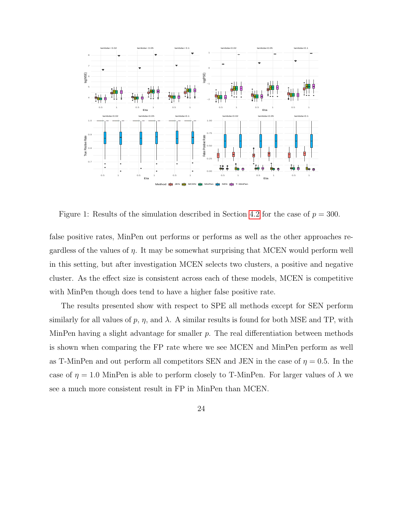

<span id="page-23-0"></span>Figure 1: Results of the simulation described in Section [4.2](#page-22-0) for the case of  $p = 300$ .

false positive rates, MinPen out performs or performs as well as the other approaches regardless of the values of  $\eta$ . It may be somewhat surprising that MCEN would perform well in this setting, but after investigation MCEN selects two clusters, a positive and negative cluster. As the effect size is consistent across each of these models, MCEN is competitive with MinPen though does tend to have a higher false positive rate.

The results presented show with respect to SPE all methods except for SEN perform similarly for all values of p,  $\eta$ , and  $\lambda$ . A similar results is found for both MSE and TP, with MinPen having a slight advantage for smaller  $p$ . The real differentiation between methods is shown when comparing the FP rate where we see MCEN and MinPen perform as well as T-MinPen and out perform all competitors SEN and JEN in the case of  $\eta = 0.5$ . In the case of  $\eta = 1.0$  MinPen is able to perform closely to T-MinPen. For larger values of  $\lambda$  we see a much more consistent result in FP in MinPen than MCEN.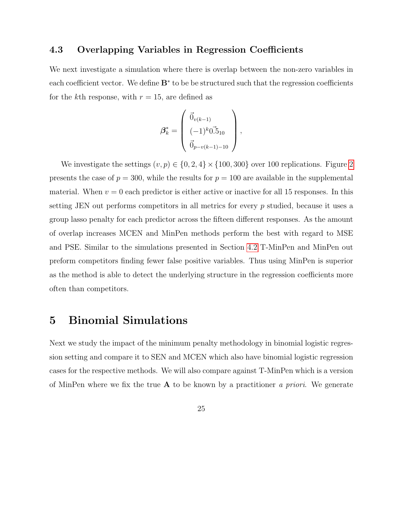### <span id="page-24-0"></span>4.3 Overlapping Variables in Regression Coefficients

We next investigate a simulation where there is overlap between the non-zero variables in each coefficient vector. We define  $B^*$  to be be structured such that the regression coefficients for the kth response, with  $r = 15$ , are defined as

$$
\beta_k^* = \begin{pmatrix} \vec{0}_{v(k-1)} \\ (-1)^k 0.5_{10} \\ \vec{0}_{p-v(k-1)-10} \end{pmatrix},
$$

We investigate the settings  $(v, p) \in \{0, 2, 4\} \times \{100, 300\}$  $(v, p) \in \{0, 2, 4\} \times \{100, 300\}$  $(v, p) \in \{0, 2, 4\} \times \{100, 300\}$  over 100 replications. Figure 2 presents the case of  $p = 300$ , while the results for  $p = 100$  are available in the supplemental material. When  $v = 0$  each predictor is either active or inactive for all 15 responses. In this setting JEN out performs competitors in all metrics for every p studied, because it uses a group lasso penalty for each predictor across the fifteen different responses. As the amount of overlap increases MCEN and MinPen methods perform the best with regard to MSE and PSE. Similar to the simulations presented in Section [4.2](#page-22-0) T-MinPen and MinPen out preform competitors finding fewer false positive variables. Thus using MinPen is superior as the method is able to detect the underlying structure in the regression coefficients more often than competitors.

### <span id="page-24-1"></span>5 Binomial Simulations

Next we study the impact of the minimum penalty methodology in binomial logistic regression setting and compare it to SEN and MCEN which also have binomial logistic regression cases for the respective methods. We will also compare against T-MinPen which is a version of MinPen where we fix the true  $A$  to be known by a practitioner a priori. We generate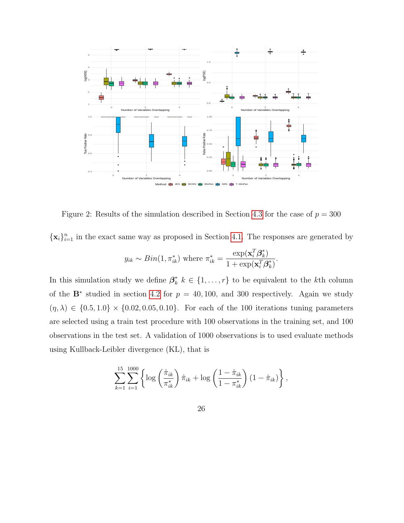

<span id="page-25-0"></span>Figure 2: Results of the simulation described in Section [4.3](#page-24-0) for the case of  $p = 300$ 

 $\{\mathbf x_i\}_{i=1}^n$  in the exact same way as proposed in Section [4.1.](#page-20-1) The responses are generated by

$$
y_{ik} \sim Bin(1, \pi_{ik}^*)
$$
 where  $\pi_{ik}^* = \frac{\exp(\mathbf{x}_i^T \boldsymbol{\beta}_k^*)}{1 + \exp(\mathbf{x}_i^T \boldsymbol{\beta}_k^*)}$ 

.

In this simulation study we define  $\beta_k^*$   $k \in \{1, \ldots, r\}$  to be equivalent to the k<sup>th</sup> column of the  $\mathbf{B}^*$  studied in section [4.2](#page-22-0) for  $p = 40, 100$ , and 300 respectively. Again we study  $(\eta, \lambda) \in \{0.5, 1.0\} \times \{0.02, 0.05, 0.10\}$ . For each of the 100 iterations tuning parameters are selected using a train test procedure with 100 observations in the training set, and 100 observations in the test set. A validation of 1000 observations is to used evaluate methods using Kullback-Leibler divergence (KL), that is

$$
\sum_{k=1}^{15} \sum_{i=1}^{1000} \left\{ \log \left( \frac{\hat{\pi}_{ik}}{\pi_{ik}^*} \right) \hat{\pi}_{ik} + \log \left( \frac{1 - \hat{\pi}_{ik}}{1 - \pi_{ik}^*} \right) (1 - \hat{\pi}_{ik}) \right\},\,
$$

26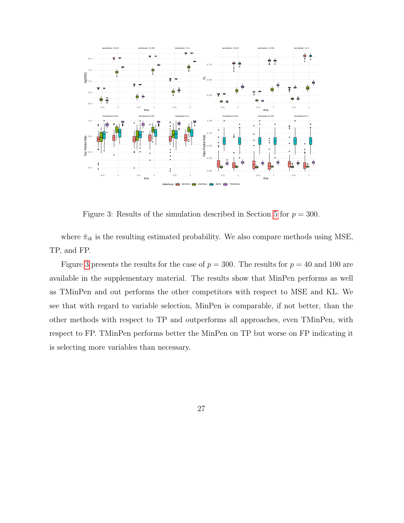

<span id="page-26-0"></span>Figure 3: Results of the simulation described in Section [5](#page-24-1) for  $p = 300$ .

where  $\hat{\pi}_{ik}$  is the resulting estimated probability. We also compare methods using MSE, TP, and FP.

Figure [3](#page-26-0) presents the results for the case of  $p = 300$ . The results for  $p = 40$  and 100 are available in the supplementary material. The results show that MinPen performs as well as TMinPen and out performs the other competitors with respect to MSE and KL. We see that with regard to variable selection, MinPen is comparable, if not better, than the other methods with respect to TP and outperforms all approaches, even TMinPen, with respect to FP. TMinPen performs better the MinPen on TP but worse on FP indicating it is selecting more variables than necessary.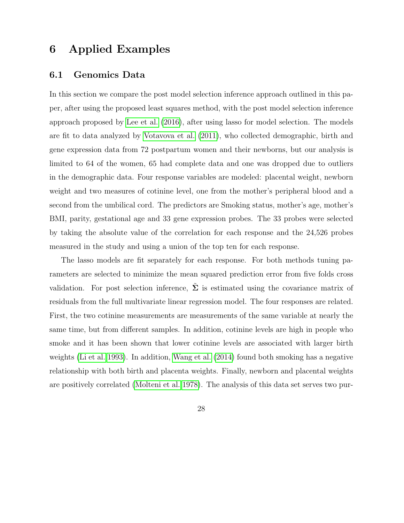### <span id="page-27-0"></span>6 Applied Examples

#### 6.1 Genomics Data

In this section we compare the post model selection inference approach outlined in this paper, after using the proposed least squares method, with the post model selection inference approach proposed by [Lee et al.](#page-32-6) [\(2016\)](#page-32-6), after using lasso for model selection. The models are fit to data analyzed by [Votavova et al.](#page-34-7) [\(2011\)](#page-34-7), who collected demographic, birth and gene expression data from 72 postpartum women and their newborns, but our analysis is limited to 64 of the women, 65 had complete data and one was dropped due to outliers in the demographic data. Four response variables are modeled: placental weight, newborn weight and two measures of cotinine level, one from the mother's peripheral blood and a second from the umbilical cord. The predictors are Smoking status, mother's age, mother's BMI, parity, gestational age and 33 gene expression probes. The 33 probes were selected by taking the absolute value of the correlation for each response and the 24,526 probes measured in the study and using a union of the top ten for each response.

The lasso models are fit separately for each response. For both methods tuning parameters are selected to minimize the mean squared prediction error from five folds cross validation. For post selection inference,  $\Sigma$  is estimated using the covariance matrix of residuals from the full multivariate linear regression model. The four responses are related. First, the two cotinine measurements are measurements of the same variable at nearly the same time, but from different samples. In addition, cotinine levels are high in people who smoke and it has been shown that lower cotinine levels are associated with larger birth weights [\(Li et al. 1993\)](#page-33-6). In addition, [Wang et al.](#page-34-8) [\(2014\)](#page-34-8) found both smoking has a negative relationship with both birth and placenta weights. Finally, newborn and placental weights are positively correlated [\(Molteni et al. 1978\)](#page-33-7). The analysis of this data set serves two pur-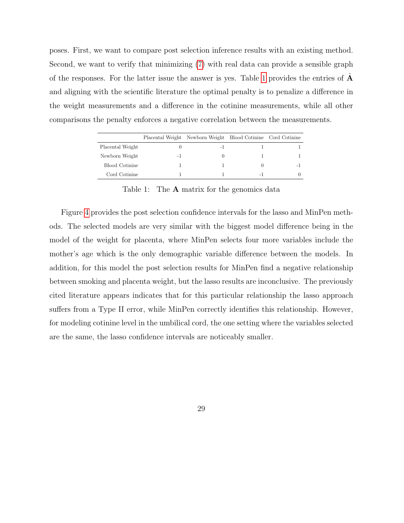poses. First, we want to compare post selection inference results with an existing method. Second, we want to verify that minimizing [\(7\)](#page-7-0) with real data can provide a sensible graph of the responses. For the latter issue the answer is yes. Table [1](#page-28-0) provides the entries of  $\bf{A}$ and aligning with the scientific literature the optimal penalty is to penalize a difference in the weight measurements and a difference in the cotinine measurements, while all other comparisons the penalty enforces a negative correlation between the measurements.

|                  |    | Placental Weight Newborn Weight Blood Cotinine Cord Cotinine |      |   |
|------------------|----|--------------------------------------------------------------|------|---|
| Placental Weight |    | - 1                                                          |      |   |
| Newborn Weight   | -1 |                                                              |      |   |
| Blood Cotinine   |    |                                                              |      | - |
| Cord Cotinine    |    |                                                              | $-1$ |   |

<span id="page-28-0"></span>Table 1: The **A** matrix for the genomics data

Figure [4](#page-29-0) provides the post selection confidence intervals for the lasso and MinPen methods. The selected models are very similar with the biggest model difference being in the model of the weight for placenta, where MinPen selects four more variables include the mother's age which is the only demographic variable difference between the models. In addition, for this model the post selection results for MinPen find a negative relationship between smoking and placenta weight, but the lasso results are inconclusive. The previously cited literature appears indicates that for this particular relationship the lasso approach suffers from a Type II error, while MinPen correctly identifies this relationship. However, for modeling cotinine level in the umbilical cord, the one setting where the variables selected are the same, the lasso confidence intervals are noticeably smaller.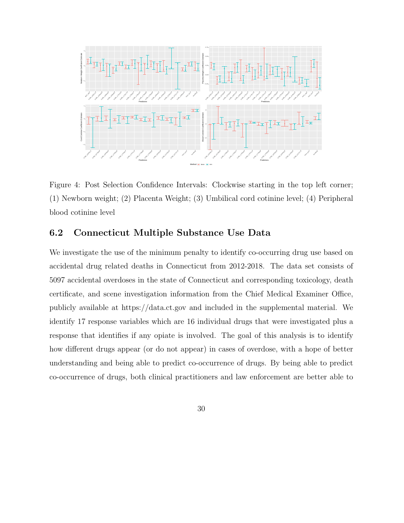

<span id="page-29-0"></span>Figure 4: Post Selection Confidence Intervals: Clockwise starting in the top left corner; (1) Newborn weight; (2) Placenta Weight; (3) Umbilical cord cotinine level; (4) Peripheral blood cotinine level

### 6.2 Connecticut Multiple Substance Use Data

We investigate the use of the minimum penalty to identify co-occurring drug use based on accidental drug related deaths in Connecticut from 2012-2018. The data set consists of 5097 accidental overdoses in the state of Connecticut and corresponding toxicology, death certificate, and scene investigation information from the Chief Medical Examiner Office, publicly available at https://data.ct.gov and included in the supplemental material. We identify 17 response variables which are 16 individual drugs that were investigated plus a response that identifies if any opiate is involved. The goal of this analysis is to identify how different drugs appear (or do not appear) in cases of overdose, with a hope of better understanding and being able to predict co-occurrence of drugs. By being able to predict co-occurrence of drugs, both clinical practitioners and law enforcement are better able to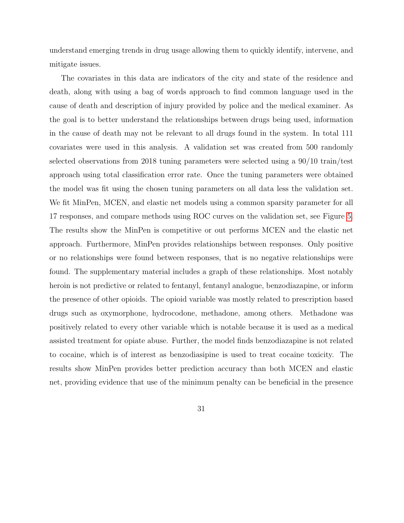understand emerging trends in drug usage allowing them to quickly identify, intervene, and mitigate issues.

The covariates in this data are indicators of the city and state of the residence and death, along with using a bag of words approach to find common language used in the cause of death and description of injury provided by police and the medical examiner. As the goal is to better understand the relationships between drugs being used, information in the cause of death may not be relevant to all drugs found in the system. In total 111 covariates were used in this analysis. A validation set was created from 500 randomly selected observations from 2018 tuning parameters were selected using a 90/10 train/test approach using total classification error rate. Once the tuning parameters were obtained the model was fit using the chosen tuning parameters on all data less the validation set. We fit MinPen, MCEN, and elastic net models using a common sparsity parameter for all 17 responses, and compare methods using ROC curves on the validation set, see Figure [5.](#page-31-1) The results show the MinPen is competitive or out performs MCEN and the elastic net approach. Furthermore, MinPen provides relationships between responses. Only positive or no relationships were found between responses, that is no negative relationships were found. The supplementary material includes a graph of these relationships. Most notably heroin is not predictive or related to fentanyl, fentanyl analogue, benzodiazapine, or inform the presence of other opioids. The opioid variable was mostly related to prescription based drugs such as oxymorphone, hydrocodone, methadone, among others. Methadone was positively related to every other variable which is notable because it is used as a medical assisted treatment for opiate abuse. Further, the model finds benzodiazapine is not related to cocaine, which is of interest as benzodiasipine is used to treat cocaine toxicity. The results show MinPen provides better prediction accuracy than both MCEN and elastic net, providing evidence that use of the minimum penalty can be beneficial in the presence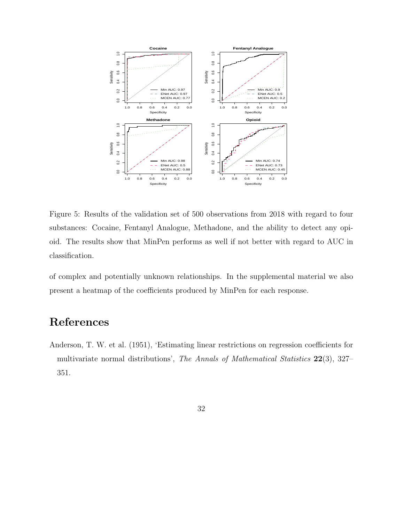

<span id="page-31-1"></span>Figure 5: Results of the validation set of 500 observations from 2018 with regard to four substances: Cocaine, Fentanyl Analogue, Methadone, and the ability to detect any opioid. The results show that MinPen performs as well if not better with regard to AUC in classification.

of complex and potentially unknown relationships. In the supplemental material we also present a heatmap of the coefficients produced by MinPen for each response.

## References

- <span id="page-31-0"></span>Anderson, T. W. et al. (1951), 'Estimating linear restrictions on regression coefficients for multivariate normal distributions', The Annals of Mathematical Statistics 22(3), 327– 351.
	- 32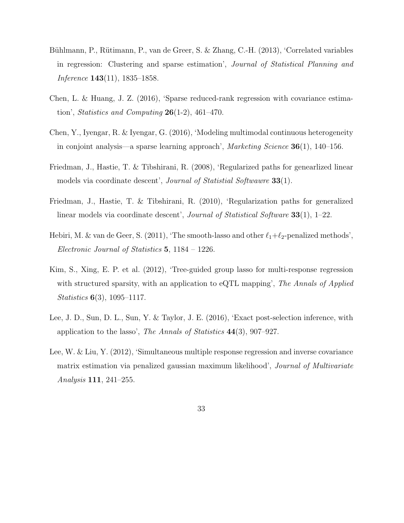- <span id="page-32-4"></span>Bühlmann, P., Rütimann, P., van de Greer, S. & Zhang, C.-H. (2013), 'Correlated variables in regression: Clustering and sparse estimation', Journal of Statistical Planning and Inference 143(11), 1835–1858.
- <span id="page-32-1"></span>Chen, L. & Huang, J. Z. (2016), 'Sparse reduced-rank regression with covariance estimation', Statistics and Computing  $26(1-2)$ , 461-470.
- <span id="page-32-3"></span>Chen, Y., Iyengar, R. & Iyengar, G. (2016), 'Modeling multimodal continuous heterogeneity in conjoint analysis—a sparse learning approach', Marketing Science 36(1), 140–156.
- <span id="page-32-8"></span>Friedman, J., Hastie, T. & Tibshirani, R. (2008), 'Regularized paths for genearlized linear models via coordinate descent', Journal of Statistial Softwawre 33(1).
- <span id="page-32-7"></span>Friedman, J., Hastie, T. & Tibshirani, R. (2010), 'Regularization paths for generalized linear models via coordinate descent', *Journal of Statistical Software* 33(1), 1–22.
- <span id="page-32-5"></span>Hebiri, M. & van de Geer, S. (2011), 'The smooth-lasso and other  $\ell_1+\ell_2$ -penalized methods', Electronic Journal of Statistics 5, 1184 – 1226.
- <span id="page-32-2"></span>Kim, S., Xing, E. P. et al. (2012), 'Tree-guided group lasso for multi-response regression with structured sparsity, with an application to eQTL mapping', The Annals of Applied Statistics 6(3), 1095–1117.
- <span id="page-32-6"></span>Lee, J. D., Sun, D. L., Sun, Y. & Taylor, J. E. (2016), 'Exact post-selection inference, with application to the lasso', The Annals of Statistics 44(3), 907–927.
- <span id="page-32-0"></span>Lee, W. & Liu, Y. (2012), 'Simultaneous multiple response regression and inverse covariance matrix estimation via penalized gaussian maximum likelihood', Journal of Multivariate Analysis 111, 241–255.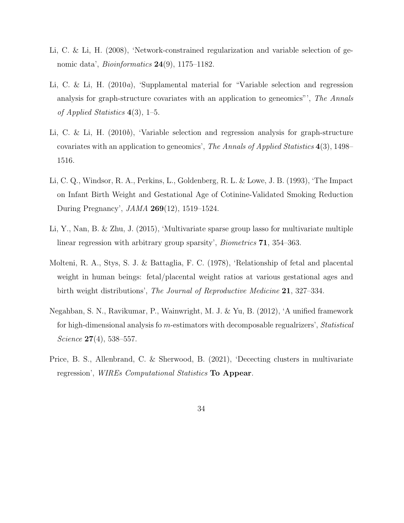- <span id="page-33-3"></span>Li, C. & Li, H. (2008), 'Network-constrained regularization and variable selection of genomic data', *Bioinformatics* **24**(9), 1175–1182.
- <span id="page-33-5"></span>Li, C. & Li, H. (2010a), 'Supplamental material for "Variable selection and regression analysis for graph-structure covariates with an application to geneomics"', The Annals of Applied Statistics  $4(3)$ , 1–5.
- <span id="page-33-4"></span>Li, C. & Li, H. (2010b), 'Variable selection and regression analysis for graph-structure covariates with an application to geneomics', The Annals of Applied Statistics 4(3), 1498– 1516.
- <span id="page-33-6"></span>Li, C. Q., Windsor, R. A., Perkins, L., Goldenberg, R. L. & Lowe, J. B. (1993), 'The Impact on Infant Birth Weight and Gestational Age of Cotinine-Validated Smoking Reduction During Pregnancy', JAMA 269(12), 1519–1524.
- <span id="page-33-2"></span>Li, Y., Nan, B. & Zhu, J. (2015), 'Multivariate sparse group lasso for multivariate multiple linear regression with arbitrary group sparsity', *Biometrics* **71**, 354–363.
- <span id="page-33-7"></span>Molteni, R. A., Stys, S. J. & Battaglia, F. C. (1978), 'Relationship of fetal and placental weight in human beings: fetal/placental weight ratios at various gestational ages and birth weight distributions', The Journal of Reproductive Medicine 21, 327-334.
- <span id="page-33-0"></span>Negahban, S. N., Ravikumar, P., Wainwright, M. J. & Yu, B. (2012), 'A unified framework for high-dimensional analysis fo m-estimators with decomposable regualrizers', Statistical Science **27**(4), 538–557.
- <span id="page-33-1"></span>Price, B. S., Allenbrand, C. & Sherwood, B. (2021), 'Dececting clusters in multivariate regression', WIREs Computational Statistics To Appear.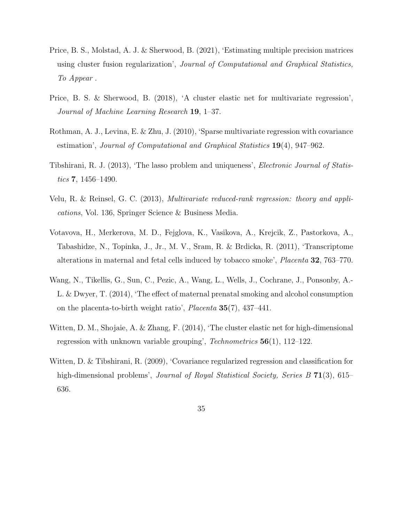- <span id="page-34-4"></span>Price, B. S., Molstad, A. J. & Sherwood, B. (2021), 'Estimating multiple precision matrices using cluster fusion regularization', Journal of Computational and Graphical Statistics, To Appear .
- <span id="page-34-3"></span>Price, B. S. & Sherwood, B. (2018), 'A cluster elastic net for multivariate regression', Journal of Machine Learning Research 19, 1–37.
- <span id="page-34-0"></span>Rothman, A. J., Levina, E. & Zhu, J. (2010), 'Sparse multivariate regression with covariance estimation', Journal of Computational and Graphical Statistics 19(4), 947–962.
- <span id="page-34-6"></span>Tibshirani, R. J. (2013), 'The lasso problem and uniqueness', Electronic Journal of Statistics **7**, 1456–1490.
- <span id="page-34-5"></span>Velu, R. & Reinsel, G. C. (2013), Multivariate reduced-rank regression: theory and applications, Vol. 136, Springer Science & Business Media.
- <span id="page-34-7"></span>Votavova, H., Merkerova, M. D., Fejglova, K., Vasikova, A., Krejcik, Z., Pastorkova, A., Tabashidze, N., Topinka, J., Jr., M. V., Sram, R. & Brdicka, R. (2011), 'Transcriptome alterations in maternal and fetal cells induced by tobacco smoke', Placenta 32, 763–770.
- <span id="page-34-8"></span>Wang, N., Tikellis, G., Sun, C., Pezic, A., Wang, L., Wells, J., Cochrane, J., Ponsonby, A.- L. & Dwyer, T. (2014), 'The effect of maternal prenatal smoking and alcohol consumption on the placenta-to-birth weight ratio', Placenta 35(7), 437–441.
- <span id="page-34-2"></span>Witten, D. M., Shojaie, A. & Zhang, F. (2014), 'The cluster elastic net for high-dimensional regression with unknown variable grouping',  $Technometrics 56(1), 112-122$ .
- <span id="page-34-1"></span>Witten, D. & Tibshirani, R. (2009), 'Covariance regularized regression and classification for high-dimensional problems', *Journal of Royal Statistical Society, Series B* 71(3), 615– 636.